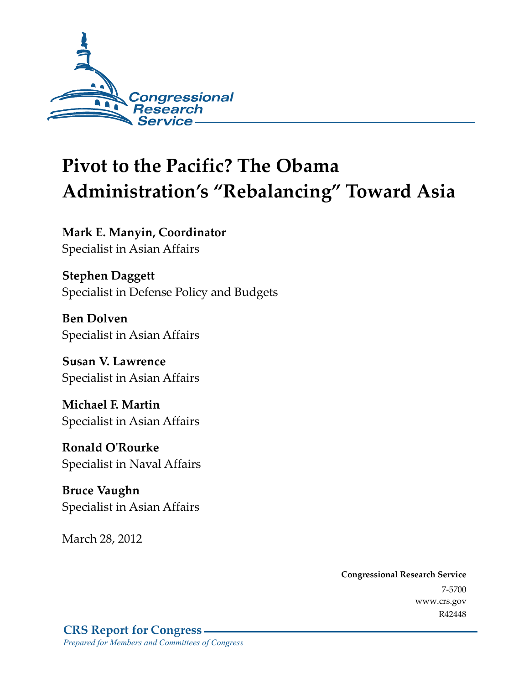

# **Pivot to the Pacific? The Obama Administration's "Rebalancing" Toward Asia**

**Mark E. Manyin, Coordinator**  Specialist in Asian Affairs

**Stephen Daggett**  Specialist in Defense Policy and Budgets

**Ben Dolven**  Specialist in Asian Affairs

**Susan V. Lawrence**  Specialist in Asian Affairs

**Michael F. Martin**  Specialist in Asian Affairs

**Ronald O'Rourke**  Specialist in Naval Affairs

**Bruce Vaughn**  Specialist in Asian Affairs

March 28, 2012

**Congressional Research Service**  7-5700 www.crs.gov R42448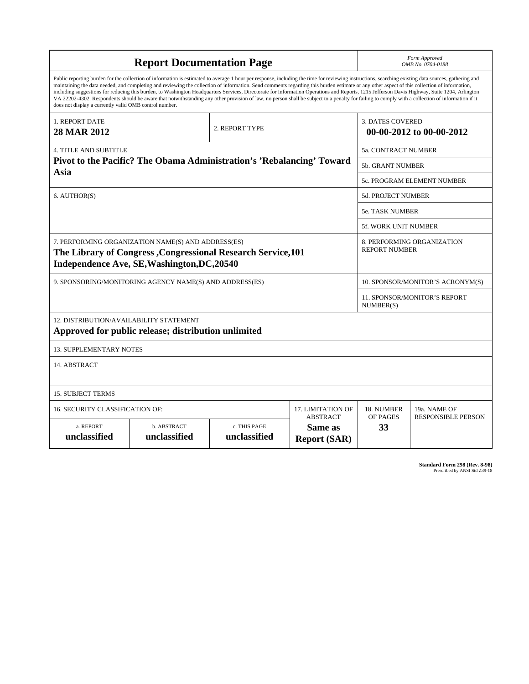| <b>Report Documentation Page</b>                                                                                                                                                                                                                                                                                                                                                                                                                                                                                                                                                                                                                                                                                                                                                                                                                                   |                                                         |                                                                       |                                                                     |                           | Form Approved<br>OMB No. 0704-0188        |  |  |
|--------------------------------------------------------------------------------------------------------------------------------------------------------------------------------------------------------------------------------------------------------------------------------------------------------------------------------------------------------------------------------------------------------------------------------------------------------------------------------------------------------------------------------------------------------------------------------------------------------------------------------------------------------------------------------------------------------------------------------------------------------------------------------------------------------------------------------------------------------------------|---------------------------------------------------------|-----------------------------------------------------------------------|---------------------------------------------------------------------|---------------------------|-------------------------------------------|--|--|
| Public reporting burden for the collection of information is estimated to average 1 hour per response, including the time for reviewing instructions, searching existing data sources, gathering and<br>maintaining the data needed, and completing and reviewing the collection of information. Send comments regarding this burden estimate or any other aspect of this collection of information,<br>including suggestions for reducing this burden, to Washington Headquarters Services, Directorate for Information Operations and Reports, 1215 Jefferson Davis Highway, Suite 1204, Arlington<br>VA 22202-4302. Respondents should be aware that notwithstanding any other provision of law, no person shall be subject to a penalty for failing to comply with a collection of information if it<br>does not display a currently valid OMB control number. |                                                         |                                                                       |                                                                     |                           |                                           |  |  |
| <b>1. REPORT DATE</b><br>28 MAR 2012                                                                                                                                                                                                                                                                                                                                                                                                                                                                                                                                                                                                                                                                                                                                                                                                                               |                                                         | 2. REPORT TYPE                                                        | <b>3. DATES COVERED</b><br>00-00-2012 to 00-00-2012                 |                           |                                           |  |  |
| <b>4. TITLE AND SUBTITLE</b>                                                                                                                                                                                                                                                                                                                                                                                                                                                                                                                                                                                                                                                                                                                                                                                                                                       | 5a. CONTRACT NUMBER                                     |                                                                       |                                                                     |                           |                                           |  |  |
|                                                                                                                                                                                                                                                                                                                                                                                                                                                                                                                                                                                                                                                                                                                                                                                                                                                                    |                                                         | Pivot to the Pacific? The Obama Administration's 'Rebalancing' Toward |                                                                     | <b>5b. GRANT NUMBER</b>   |                                           |  |  |
| Asia                                                                                                                                                                                                                                                                                                                                                                                                                                                                                                                                                                                                                                                                                                                                                                                                                                                               |                                                         |                                                                       |                                                                     |                           | 5c. PROGRAM ELEMENT NUMBER                |  |  |
| 6. AUTHOR(S)                                                                                                                                                                                                                                                                                                                                                                                                                                                                                                                                                                                                                                                                                                                                                                                                                                                       |                                                         |                                                                       |                                                                     | <b>5d. PROJECT NUMBER</b> |                                           |  |  |
|                                                                                                                                                                                                                                                                                                                                                                                                                                                                                                                                                                                                                                                                                                                                                                                                                                                                    |                                                         |                                                                       |                                                                     | 5e. TASK NUMBER           |                                           |  |  |
|                                                                                                                                                                                                                                                                                                                                                                                                                                                                                                                                                                                                                                                                                                                                                                                                                                                                    |                                                         |                                                                       | <b>5f. WORK UNIT NUMBER</b>                                         |                           |                                           |  |  |
| 7. PERFORMING ORGANIZATION NAME(S) AND ADDRESS(ES)<br>8. PERFORMING ORGANIZATION<br><b>REPORT NUMBER</b><br>The Library of Congress, Congressional Research Service, 101<br>Independence Ave, SE, Washington, DC, 20540                                                                                                                                                                                                                                                                                                                                                                                                                                                                                                                                                                                                                                            |                                                         |                                                                       |                                                                     |                           |                                           |  |  |
|                                                                                                                                                                                                                                                                                                                                                                                                                                                                                                                                                                                                                                                                                                                                                                                                                                                                    | 9. SPONSORING/MONITORING AGENCY NAME(S) AND ADDRESS(ES) | 10. SPONSOR/MONITOR'S ACRONYM(S)                                      |                                                                     |                           |                                           |  |  |
|                                                                                                                                                                                                                                                                                                                                                                                                                                                                                                                                                                                                                                                                                                                                                                                                                                                                    |                                                         | 11. SPONSOR/MONITOR'S REPORT<br>NUMBER(S)                             |                                                                     |                           |                                           |  |  |
| 12. DISTRIBUTION/AVAILABILITY STATEMENT<br>Approved for public release; distribution unlimited                                                                                                                                                                                                                                                                                                                                                                                                                                                                                                                                                                                                                                                                                                                                                                     |                                                         |                                                                       |                                                                     |                           |                                           |  |  |
| <b>13. SUPPLEMENTARY NOTES</b>                                                                                                                                                                                                                                                                                                                                                                                                                                                                                                                                                                                                                                                                                                                                                                                                                                     |                                                         |                                                                       |                                                                     |                           |                                           |  |  |
| 14. ABSTRACT                                                                                                                                                                                                                                                                                                                                                                                                                                                                                                                                                                                                                                                                                                                                                                                                                                                       |                                                         |                                                                       |                                                                     |                           |                                           |  |  |
| <b>15. SUBJECT TERMS</b>                                                                                                                                                                                                                                                                                                                                                                                                                                                                                                                                                                                                                                                                                                                                                                                                                                           |                                                         |                                                                       |                                                                     |                           |                                           |  |  |
| 16. SECURITY CLASSIFICATION OF:                                                                                                                                                                                                                                                                                                                                                                                                                                                                                                                                                                                                                                                                                                                                                                                                                                    |                                                         |                                                                       | 17. LIMITATION OF                                                   | 18. NUMBER                | 19a. NAME OF<br><b>RESPONSIBLE PERSON</b> |  |  |
| a. REPORT<br>unclassified                                                                                                                                                                                                                                                                                                                                                                                                                                                                                                                                                                                                                                                                                                                                                                                                                                          | b. ABSTRACT<br>unclassified                             | c. THIS PAGE<br>unclassified                                          | <b>ABSTRACT</b><br>OF PAGES<br>33<br>Same as<br><b>Report (SAR)</b> |                           |                                           |  |  |

**Standard Form 298 (Rev. 8-98)**<br>Prescribed by ANSI Std Z39-18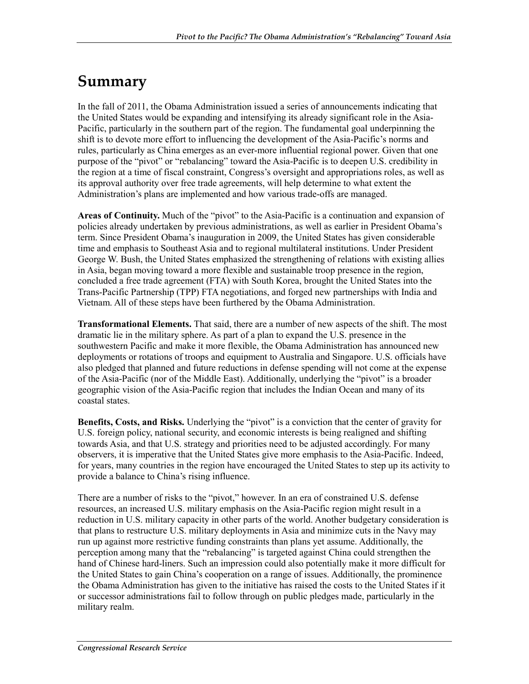## **Summary**

In the fall of 2011, the Obama Administration issued a series of announcements indicating that the United States would be expanding and intensifying its already significant role in the Asia-Pacific, particularly in the southern part of the region. The fundamental goal underpinning the shift is to devote more effort to influencing the development of the Asia-Pacific's norms and rules, particularly as China emerges as an ever-more influential regional power. Given that one purpose of the "pivot" or "rebalancing" toward the Asia-Pacific is to deepen U.S. credibility in the region at a time of fiscal constraint, Congress's oversight and appropriations roles, as well as its approval authority over free trade agreements, will help determine to what extent the Administration's plans are implemented and how various trade-offs are managed.

**Areas of Continuity.** Much of the "pivot" to the Asia-Pacific is a continuation and expansion of policies already undertaken by previous administrations, as well as earlier in President Obama's term. Since President Obama's inauguration in 2009, the United States has given considerable time and emphasis to Southeast Asia and to regional multilateral institutions. Under President George W. Bush, the United States emphasized the strengthening of relations with existing allies in Asia, began moving toward a more flexible and sustainable troop presence in the region, concluded a free trade agreement (FTA) with South Korea, brought the United States into the Trans-Pacific Partnership (TPP) FTA negotiations, and forged new partnerships with India and Vietnam. All of these steps have been furthered by the Obama Administration.

**Transformational Elements.** That said, there are a number of new aspects of the shift. The most dramatic lie in the military sphere. As part of a plan to expand the U.S. presence in the southwestern Pacific and make it more flexible, the Obama Administration has announced new deployments or rotations of troops and equipment to Australia and Singapore. U.S. officials have also pledged that planned and future reductions in defense spending will not come at the expense of the Asia-Pacific (nor of the Middle East). Additionally, underlying the "pivot" is a broader geographic vision of the Asia-Pacific region that includes the Indian Ocean and many of its coastal states.

**Benefits, Costs, and Risks.** Underlying the "pivot" is a conviction that the center of gravity for U.S. foreign policy, national security, and economic interests is being realigned and shifting towards Asia, and that U.S. strategy and priorities need to be adjusted accordingly. For many observers, it is imperative that the United States give more emphasis to the Asia-Pacific. Indeed, for years, many countries in the region have encouraged the United States to step up its activity to provide a balance to China's rising influence.

There are a number of risks to the "pivot," however. In an era of constrained U.S. defense resources, an increased U.S. military emphasis on the Asia-Pacific region might result in a reduction in U.S. military capacity in other parts of the world. Another budgetary consideration is that plans to restructure U.S. military deployments in Asia and minimize cuts in the Navy may run up against more restrictive funding constraints than plans yet assume. Additionally, the perception among many that the "rebalancing" is targeted against China could strengthen the hand of Chinese hard-liners. Such an impression could also potentially make it more difficult for the United States to gain China's cooperation on a range of issues. Additionally, the prominence the Obama Administration has given to the initiative has raised the costs to the United States if it or successor administrations fail to follow through on public pledges made, particularly in the military realm.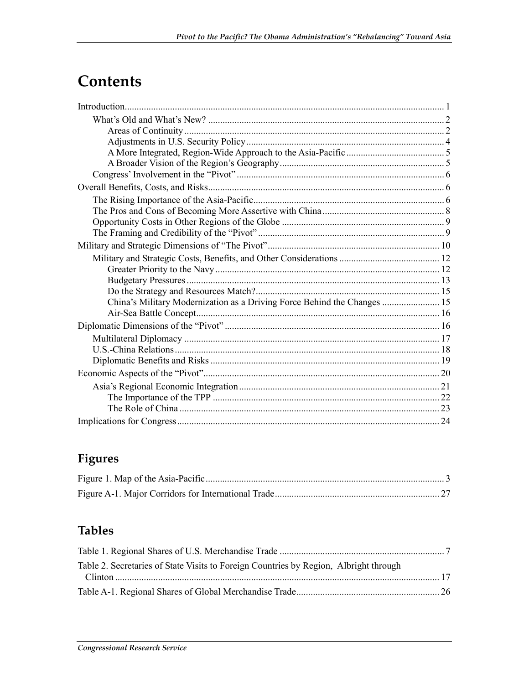## Contents

| China's Military Modernization as a Driving Force Behind the Changes  15 |  |
|--------------------------------------------------------------------------|--|
|                                                                          |  |
|                                                                          |  |
|                                                                          |  |
|                                                                          |  |
|                                                                          |  |
|                                                                          |  |
|                                                                          |  |
|                                                                          |  |
|                                                                          |  |
|                                                                          |  |

## Figures

## **Tables**

| Table 2. Secretaries of State Visits to Foreign Countries by Region, Albright through |  |
|---------------------------------------------------------------------------------------|--|
|                                                                                       |  |
|                                                                                       |  |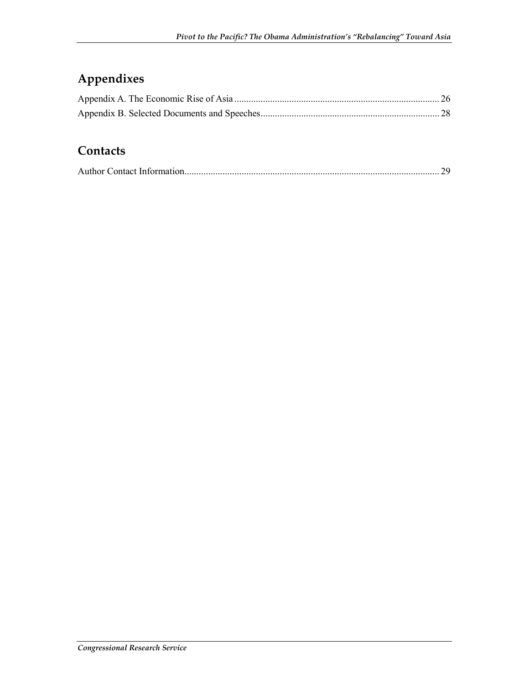## **Appendixes**

### **Contacts**

|--|--|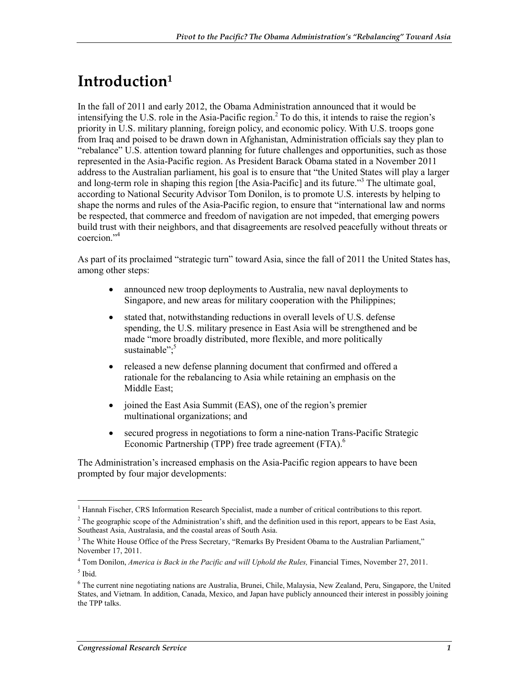## **Introduction1**

In the fall of 2011 and early 2012, the Obama Administration announced that it would be intensifying the U.S. role in the Asia-Pacific region.<sup>2</sup> To do this, it intends to raise the region's priority in U.S. military planning, foreign policy, and economic policy. With U.S. troops gone from Iraq and poised to be drawn down in Afghanistan, Administration officials say they plan to "rebalance" U.S. attention toward planning for future challenges and opportunities, such as those represented in the Asia-Pacific region. As President Barack Obama stated in a November 2011 address to the Australian parliament, his goal is to ensure that "the United States will play a larger and long-term role in shaping this region [the Asia-Pacific] and its future."3 The ultimate goal, according to National Security Advisor Tom Donilon, is to promote U.S. interests by helping to shape the norms and rules of the Asia-Pacific region, to ensure that "international law and norms be respected, that commerce and freedom of navigation are not impeded, that emerging powers build trust with their neighbors, and that disagreements are resolved peacefully without threats or coercion."4

As part of its proclaimed "strategic turn" toward Asia, since the fall of 2011 the United States has, among other steps:

- announced new troop deployments to Australia, new naval deployments to Singapore, and new areas for military cooperation with the Philippines;
- stated that, notwithstanding reductions in overall levels of U.S. defense spending, the U.S. military presence in East Asia will be strengthened and be made "more broadly distributed, more flexible, and more politically sustainable": $5$
- released a new defense planning document that confirmed and offered a rationale for the rebalancing to Asia while retaining an emphasis on the Middle East;
- joined the East Asia Summit (EAS), one of the region's premier multinational organizations; and
- secured progress in negotiations to form a nine-nation Trans-Pacific Strategic Economic Partnership (TPP) free trade agreement (FTA).<sup>6</sup>

The Administration's increased emphasis on the Asia-Pacific region appears to have been prompted by four major developments:

<sup>1</sup> <sup>1</sup> Hannah Fischer, CRS Information Research Specialist, made a number of critical contributions to this report.

<sup>&</sup>lt;sup>2</sup> The geographic scope of the Administration's shift, and the definition used in this report, appears to be East Asia, Southeast Asia, Australasia, and the coastal areas of South Asia.

<sup>&</sup>lt;sup>3</sup> The White House Office of the Press Secretary, "Remarks By President Obama to the Australian Parliament," November 17, 2011.

<sup>4</sup> Tom Donilon, *America is Back in the Pacific and will Uphold the Rules,* Financial Times, November 27, 2011.  $<sup>5</sup>$  Ibid.</sup>

<sup>&</sup>lt;sup>6</sup> The current nine negotiating nations are Australia, Brunei, Chile, Malaysia, New Zealand, Peru, Singapore, the United States, and Vietnam. In addition, Canada, Mexico, and Japan have publicly announced their interest in possibly joining the TPP talks.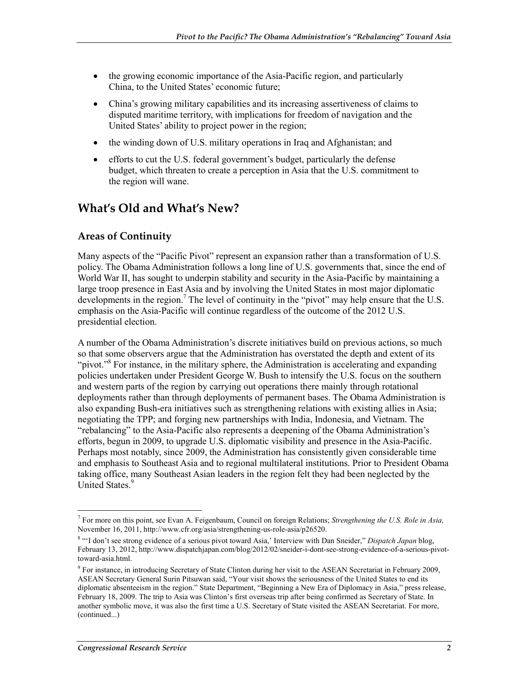- the growing economic importance of the Asia-Pacific region, and particularly China, to the United States' economic future;
- China's growing military capabilities and its increasing assertiveness of claims to disputed maritime territory, with implications for freedom of navigation and the United States' ability to project power in the region;
- the winding down of U.S. military operations in Iraq and Afghanistan; and
- efforts to cut the U.S. federal government's budget, particularly the defense budget, which threaten to create a perception in Asia that the U.S. commitment to the region will wane.

### **What's Old and What's New?**

#### **Areas of Continuity**

Many aspects of the "Pacific Pivot" represent an expansion rather than a transformation of U.S. policy. The Obama Administration follows a long line of U.S. governments that, since the end of World War II, has sought to underpin stability and security in the Asia-Pacific by maintaining a large troop presence in East Asia and by involving the United States in most major diplomatic developments in the region.<sup>7</sup> The level of continuity in the "pivot" may help ensure that the U.S. emphasis on the Asia-Pacific will continue regardless of the outcome of the 2012 U.S. presidential election.

A number of the Obama Administration's discrete initiatives build on previous actions, so much so that some observers argue that the Administration has overstated the depth and extent of its "pivot."<sup>8</sup> For instance, in the military sphere, the Administration is accelerating and expanding policies undertaken under President George W. Bush to intensify the U.S. focus on the southern and western parts of the region by carrying out operations there mainly through rotational deployments rather than through deployments of permanent bases. The Obama Administration is also expanding Bush-era initiatives such as strengthening relations with existing allies in Asia; negotiating the TPP; and forging new partnerships with India, Indonesia, and Vietnam. The "rebalancing" to the Asia-Pacific also represents a deepening of the Obama Administration's efforts, begun in 2009, to upgrade U.S. diplomatic visibility and presence in the Asia-Pacific. Perhaps most notably, since 2009, the Administration has consistently given considerable time and emphasis to Southeast Asia and to regional multilateral institutions. Prior to President Obama taking office, many Southeast Asian leaders in the region felt they had been neglected by the United States.<sup>9</sup>

<sup>1</sup> 7 For more on this point, see Evan A. Feigenbaum, Council on foreign Relations; *Strengthening the U.S. Role in Asia,*  November 16, 2011, http://www.cfr.org/asia/strengthening-us-role-asia/p26520.

<sup>&</sup>lt;sup>8</sup> "I don't see strong evidence of a serious pivot toward Asia,' Interview with Dan Sneider," Dispatch Japan blog, February 13, 2012, http://www.dispatchjapan.com/blog/2012/02/sneider-i-dont-see-strong-evidence-of-a-serious-pivottoward-asia.html.

<sup>&</sup>lt;sup>9</sup> For instance, in introducing Secretary of State Clinton during her visit to the ASEAN Secretariat in February 2009, ASEAN Secretary General Surin Pitsuwan said, "Your visit shows the seriousness of the United States to end its diplomatic absenteeism in the region." State Department, "Beginning a New Era of Diplomacy in Asia," press release, February 18, 2009. The trip to Asia was Clinton's first overseas trip after being confirmed as Secretary of State. In another symbolic move, it was also the first time a U.S. Secretary of State visited the ASEAN Secretariat. For more, (continued...)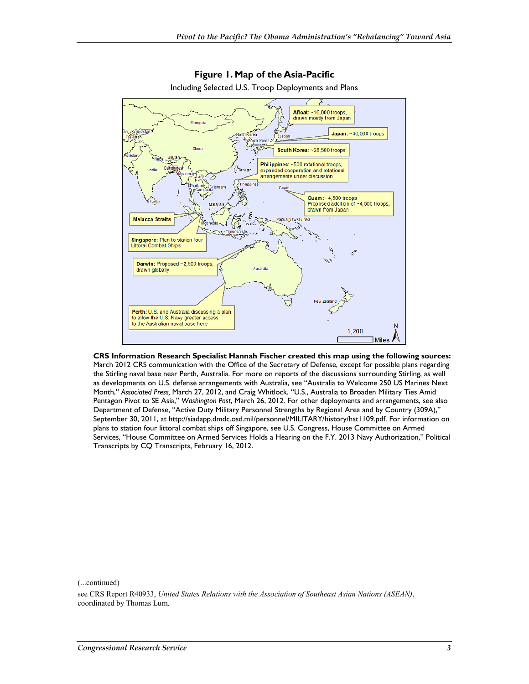

**Figure 1. Map of the Asia-Pacific**  Including Selected U.S. Troop Deployments and Plans

**CRS Information Research Specialist Hannah Fischer created this map using the following sources:**  March 2012 CRS communication with the Office of the Secretary of Defense, except for possible plans regarding the Stirling naval base near Perth, Australia. For more on reports of the discussions surrounding Stirling, as well as developments on U.S. defense arrangements with Australia, see "Australia to Welcome 250 US Marines Next Month," *Associated Press,* March 27, 2012, and Craig Whitlock, "U.S., Australia to Broaden Military Ties Amid Pentagon Pivot to SE Asia," *Washington Post*, March 26, 2012. For other deployments and arrangements, see also Department of Defense, "Active Duty Military Personnel Strengths by Regional Area and by Country (309A)," September 30, 2011, at http://siadapp.dmdc.osd.mil/personnel/MILITARY/history/hst1109.pdf. For information on plans to station four littoral combat ships off Singapore, see U.S. Congress, House Committee on Armed Services, "House Committee on Armed Services Holds a Hearing on the F.Y. 2013 Navy Authorization," Political Transcripts by CQ Transcripts, February 16, 2012.

(...continued)

-

see CRS Report R40933, *United States Relations with the Association of Southeast Asian Nations (ASEAN)*, coordinated by Thomas Lum.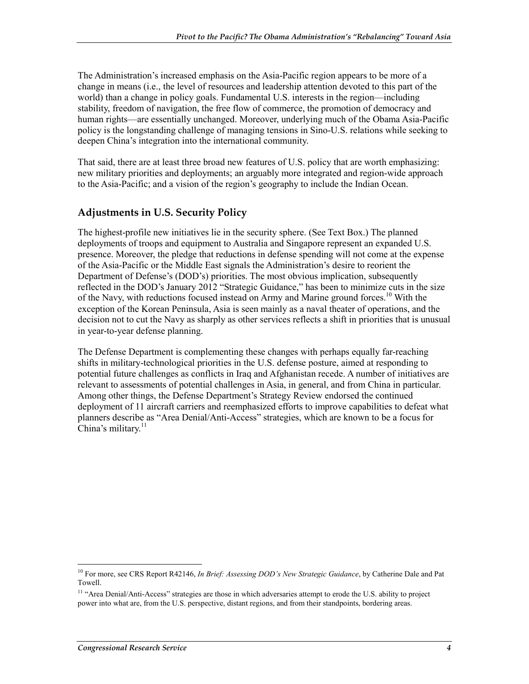The Administration's increased emphasis on the Asia-Pacific region appears to be more of a change in means (i.e., the level of resources and leadership attention devoted to this part of the world) than a change in policy goals. Fundamental U.S. interests in the region—including stability, freedom of navigation, the free flow of commerce, the promotion of democracy and human rights—are essentially unchanged. Moreover, underlying much of the Obama Asia-Pacific policy is the longstanding challenge of managing tensions in Sino-U.S. relations while seeking to deepen China's integration into the international community.

That said, there are at least three broad new features of U.S. policy that are worth emphasizing: new military priorities and deployments; an arguably more integrated and region-wide approach to the Asia-Pacific; and a vision of the region's geography to include the Indian Ocean.

#### **Adjustments in U.S. Security Policy**

The highest-profile new initiatives lie in the security sphere. (See Text Box.) The planned deployments of troops and equipment to Australia and Singapore represent an expanded U.S. presence. Moreover, the pledge that reductions in defense spending will not come at the expense of the Asia-Pacific or the Middle East signals the Administration's desire to reorient the Department of Defense's (DOD's) priorities. The most obvious implication, subsequently reflected in the DOD's January 2012 "Strategic Guidance," has been to minimize cuts in the size of the Navy, with reductions focused instead on Army and Marine ground forces.<sup>10</sup> With the exception of the Korean Peninsula, Asia is seen mainly as a naval theater of operations, and the decision not to cut the Navy as sharply as other services reflects a shift in priorities that is unusual in year-to-year defense planning.

The Defense Department is complementing these changes with perhaps equally far-reaching shifts in military-technological priorities in the U.S. defense posture, aimed at responding to potential future challenges as conflicts in Iraq and Afghanistan recede. A number of initiatives are relevant to assessments of potential challenges in Asia, in general, and from China in particular. Among other things, the Defense Department's Strategy Review endorsed the continued deployment of 11 aircraft carriers and reemphasized efforts to improve capabilities to defeat what planners describe as "Area Denial/Anti-Access" strategies, which are known to be a focus for China's military. $11$ 

<sup>10</sup> For more, see CRS Report R42146, *In Brief: Assessing DOD's New Strategic Guidance*, by Catherine Dale and Pat Towell.

<sup>&</sup>lt;sup>11</sup> "Area Denial/Anti-Access" strategies are those in which adversaries attempt to erode the U.S. ability to project power into what are, from the U.S. perspective, distant regions, and from their standpoints, bordering areas.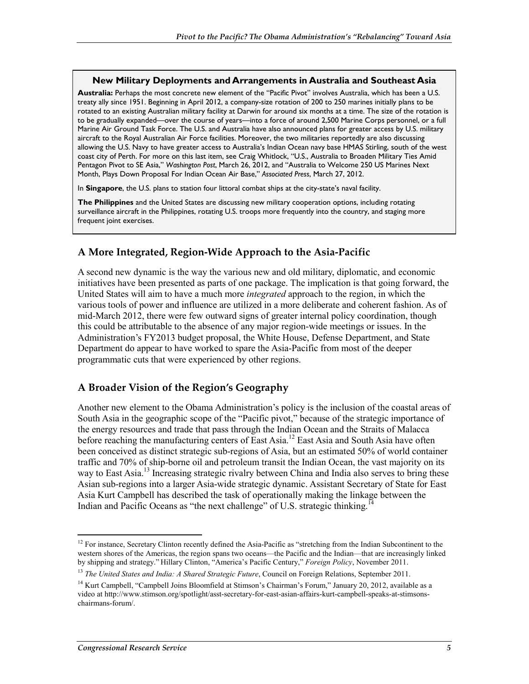#### **New Military Deployments and Arrangements in Australia and Southeast Asia**

**Australia:** Perhaps the most concrete new element of the "Pacific Pivot" involves Australia, which has been a U.S. treaty ally since 1951. Beginning in April 2012, a company-size rotation of 200 to 250 marines initially plans to be rotated to an existing Australian military facility at Darwin for around six months at a time. The size of the rotation is to be gradually expanded—over the course of years—into a force of around 2,500 Marine Corps personnel, or a full Marine Air Ground Task Force. The U.S. and Australia have also announced plans for greater access by U.S. military aircraft to the Royal Australian Air Force facilities. Moreover, the two militaries reportedly are also discussing allowing the U.S. Navy to have greater access to Australia's Indian Ocean navy base HMAS Stirling, south of the west coast city of Perth. For more on this last item, see Craig Whitlock, "U.S., Australia to Broaden Military Ties Amid Pentagon Pivot to SE Asia," *Washington Post*, March 26, 2012, and "Australia to Welcome 250 US Marines Next Month, Plays Down Proposal For Indian Ocean Air Base," *Associated Press*, March 27, 2012.

In **Singapore**, the U.S. plans to station four littoral combat ships at the city-state's naval facility.

**The Philippines** and the United States are discussing new military cooperation options, including rotating surveillance aircraft in the Philippines, rotating U.S. troops more frequently into the country, and staging more frequent joint exercises.

#### **A More Integrated, Region-Wide Approach to the Asia-Pacific**

A second new dynamic is the way the various new and old military, diplomatic, and economic initiatives have been presented as parts of one package. The implication is that going forward, the United States will aim to have a much more *integrated* approach to the region, in which the various tools of power and influence are utilized in a more deliberate and coherent fashion. As of mid-March 2012, there were few outward signs of greater internal policy coordination, though this could be attributable to the absence of any major region-wide meetings or issues. In the Administration's FY2013 budget proposal, the White House, Defense Department, and State Department do appear to have worked to spare the Asia-Pacific from most of the deeper programmatic cuts that were experienced by other regions.

#### **A Broader Vision of the Region's Geography**

Another new element to the Obama Administration's policy is the inclusion of the coastal areas of South Asia in the geographic scope of the "Pacific pivot," because of the strategic importance of the energy resources and trade that pass through the Indian Ocean and the Straits of Malacca before reaching the manufacturing centers of East Asia.<sup>12</sup> East Asia and South Asia have often been conceived as distinct strategic sub-regions of Asia, but an estimated 50% of world container traffic and 70% of ship-borne oil and petroleum transit the Indian Ocean, the vast majority on its way to East Asia.<sup>13</sup> Increasing strategic rivalry between China and India also serves to bring these Asian sub-regions into a larger Asia-wide strategic dynamic. Assistant Secretary of State for East Asia Kurt Campbell has described the task of operationally making the linkage between the Indian and Pacific Oceans as "the next challenge" of U.S. strategic thinking.<sup>1</sup>

 $12$  For instance, Secretary Clinton recently defined the Asia-Pacific as "stretching from the Indian Subcontinent to the western shores of the Americas, the region spans two oceans—the Pacific and the Indian—that are increasingly linked by shipping and strategy." Hillary Clinton, "America's Pacific Century," *Foreign Policy*, November 2011.

<sup>&</sup>lt;sup>13</sup> *The United States and India: A Shared Strategic Future*, Council on Foreign Relations, September 2011.

<sup>&</sup>lt;sup>14</sup> Kurt Campbell, "Campbell Joins Bloomfield at Stimson's Chairman's Forum," January 20, 2012, available as a video at http://www.stimson.org/spotlight/asst-secretary-for-east-asian-affairs-kurt-campbell-speaks-at-stimsonschairmans-forum/.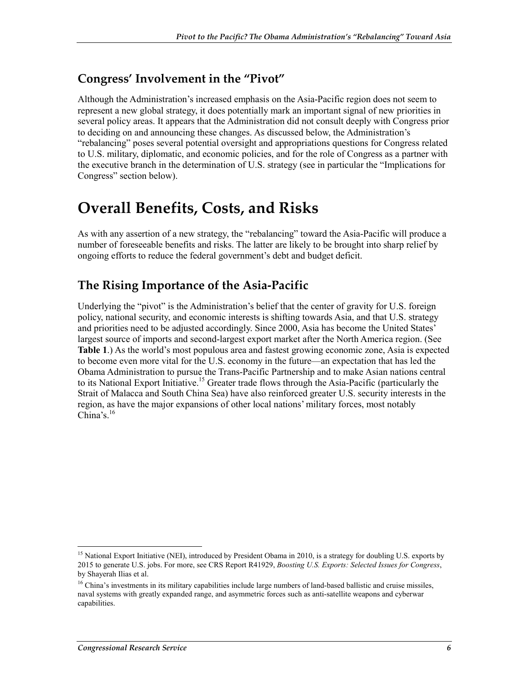### **Congress' Involvement in the "Pivot"**

Although the Administration's increased emphasis on the Asia-Pacific region does not seem to represent a new global strategy, it does potentially mark an important signal of new priorities in several policy areas. It appears that the Administration did not consult deeply with Congress prior to deciding on and announcing these changes. As discussed below, the Administration's "rebalancing" poses several potential oversight and appropriations questions for Congress related to U.S. military, diplomatic, and economic policies, and for the role of Congress as a partner with the executive branch in the determination of U.S. strategy (see in particular the "Implications for Congress" section below).

## **Overall Benefits, Costs, and Risks**

As with any assertion of a new strategy, the "rebalancing" toward the Asia-Pacific will produce a number of foreseeable benefits and risks. The latter are likely to be brought into sharp relief by ongoing efforts to reduce the federal government's debt and budget deficit.

### **The Rising Importance of the Asia-Pacific**

Underlying the "pivot" is the Administration's belief that the center of gravity for U.S. foreign policy, national security, and economic interests is shifting towards Asia, and that U.S. strategy and priorities need to be adjusted accordingly. Since 2000, Asia has become the United States' largest source of imports and second-largest export market after the North America region. (See **Table 1**.) As the world's most populous area and fastest growing economic zone, Asia is expected to become even more vital for the U.S. economy in the future—an expectation that has led the Obama Administration to pursue the Trans-Pacific Partnership and to make Asian nations central to its National Export Initiative.<sup>15</sup> Greater trade flows through the Asia-Pacific (particularly the Strait of Malacca and South China Sea) have also reinforced greater U.S. security interests in the region, as have the major expansions of other local nations' military forces, most notably China's  $16$ 

<sup>&</sup>lt;sup>15</sup> National Export Initiative (NEI), introduced by President Obama in 2010, is a strategy for doubling U.S. exports by 2015 to generate U.S. jobs. For more, see CRS Report R41929, *Boosting U.S. Exports: Selected Issues for Congress*, by Shayerah Ilias et al.

<sup>&</sup>lt;sup>16</sup> China's investments in its military capabilities include large numbers of land-based ballistic and cruise missiles, naval systems with greatly expanded range, and asymmetric forces such as anti-satellite weapons and cyberwar capabilities.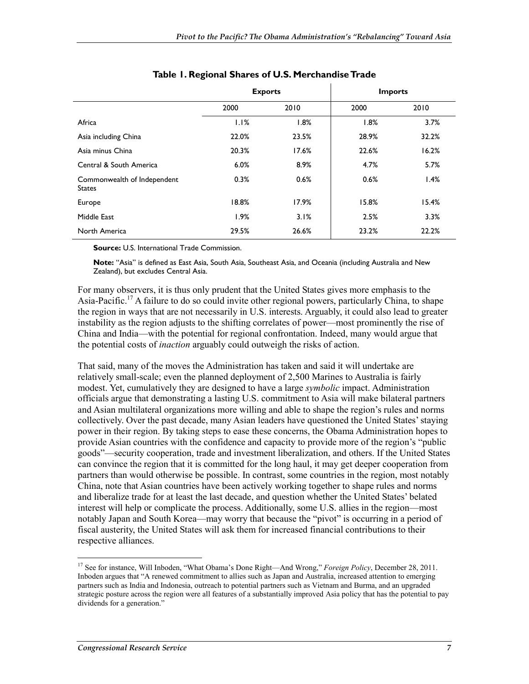|                                              | <b>Exports</b> |       | <b>Imports</b> |       |
|----------------------------------------------|----------------|-------|----------------|-------|
|                                              | 2000           | 2010  | 2000           | 2010  |
| Africa                                       | 1.1%           | 1.8%  | 1.8%           | 3.7%  |
| Asia including China                         | 22.0%          | 23.5% | 28.9%          | 32.2% |
| Asia minus China                             | 20.3%          | 17.6% | 22.6%          | 16.2% |
| Central & South America                      | 6.0%           | 8.9%  | 4.7%           | 5.7%  |
| Commonwealth of Independent<br><b>States</b> | 0.3%           | 0.6%  | 0.6%           | 1.4%  |
| Europe                                       | 18.8%          | 17.9% | 15.8%          | 15.4% |
| Middle East                                  | 1.9%           | 3.1%  | 2.5%           | 3.3%  |
| North America                                | 29.5%          | 26.6% | 23.2%          | 22.2% |

#### **Table 1. Regional Shares of U.S. Merchandise Trade**

**Source:** U.S. International Trade Commission.

**Note:** "Asia" is defined as East Asia, South Asia, Southeast Asia, and Oceania (including Australia and New Zealand), but excludes Central Asia.

For many observers, it is thus only prudent that the United States gives more emphasis to the Asia-Pacific.<sup>17</sup> A failure to do so could invite other regional powers, particularly China, to shape the region in ways that are not necessarily in U.S. interests. Arguably, it could also lead to greater instability as the region adjusts to the shifting correlates of power—most prominently the rise of China and India—with the potential for regional confrontation. Indeed, many would argue that the potential costs of *inaction* arguably could outweigh the risks of action.

That said, many of the moves the Administration has taken and said it will undertake are relatively small-scale; even the planned deployment of 2,500 Marines to Australia is fairly modest. Yet, cumulatively they are designed to have a large *symbolic* impact. Administration officials argue that demonstrating a lasting U.S. commitment to Asia will make bilateral partners and Asian multilateral organizations more willing and able to shape the region's rules and norms collectively. Over the past decade, many Asian leaders have questioned the United States' staying power in their region. By taking steps to ease these concerns, the Obama Administration hopes to provide Asian countries with the confidence and capacity to provide more of the region's "public goods"—security cooperation, trade and investment liberalization, and others. If the United States can convince the region that it is committed for the long haul, it may get deeper cooperation from partners than would otherwise be possible. In contrast, some countries in the region, most notably China, note that Asian countries have been actively working together to shape rules and norms and liberalize trade for at least the last decade, and question whether the United States' belated interest will help or complicate the process. Additionally, some U.S. allies in the region—most notably Japan and South Korea—may worry that because the "pivot" is occurring in a period of fiscal austerity, the United States will ask them for increased financial contributions to their respective alliances.

<sup>17</sup> See for instance, Will Inboden, "What Obama's Done Right—And Wrong," *Foreign Policy*, December 28, 2011. Inboden argues that "A renewed commitment to allies such as Japan and Australia, increased attention to emerging partners such as India and Indonesia, outreach to potential partners such as Vietnam and Burma, and an upgraded strategic posture across the region were all features of a substantially improved Asia policy that has the potential to pay dividends for a generation."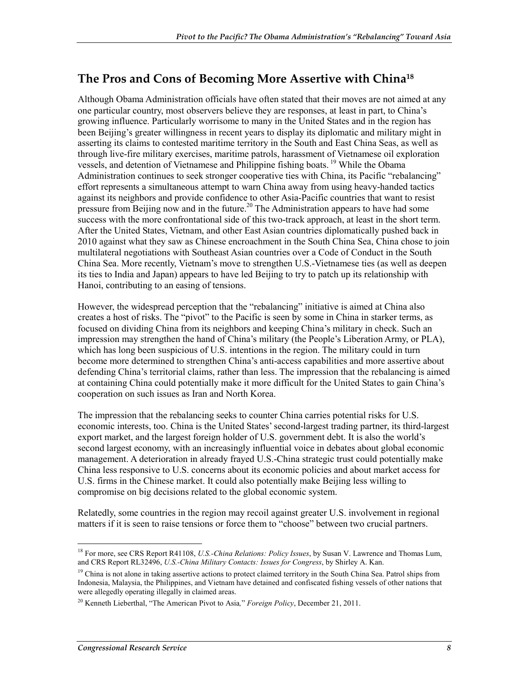### **The Pros and Cons of Becoming More Assertive with China18**

Although Obama Administration officials have often stated that their moves are not aimed at any one particular country, most observers believe they are responses, at least in part, to China's growing influence. Particularly worrisome to many in the United States and in the region has been Beijing's greater willingness in recent years to display its diplomatic and military might in asserting its claims to contested maritime territory in the South and East China Seas, as well as through live-fire military exercises, maritime patrols, harassment of Vietnamese oil exploration vessels, and detention of Vietnamese and Philippine fishing boats.<sup>19</sup> While the Obama Administration continues to seek stronger cooperative ties with China, its Pacific "rebalancing" effort represents a simultaneous attempt to warn China away from using heavy-handed tactics against its neighbors and provide confidence to other Asia-Pacific countries that want to resist pressure from Beijing now and in the future.<sup>20</sup> The Administration appears to have had some success with the more confrontational side of this two-track approach, at least in the short term. After the United States, Vietnam, and other East Asian countries diplomatically pushed back in 2010 against what they saw as Chinese encroachment in the South China Sea, China chose to join multilateral negotiations with Southeast Asian countries over a Code of Conduct in the South China Sea. More recently, Vietnam's move to strengthen U.S.-Vietnamese ties (as well as deepen its ties to India and Japan) appears to have led Beijing to try to patch up its relationship with Hanoi, contributing to an easing of tensions.

However, the widespread perception that the "rebalancing" initiative is aimed at China also creates a host of risks. The "pivot" to the Pacific is seen by some in China in starker terms, as focused on dividing China from its neighbors and keeping China's military in check. Such an impression may strengthen the hand of China's military (the People's Liberation Army, or PLA), which has long been suspicious of U.S. intentions in the region. The military could in turn become more determined to strengthen China's anti-access capabilities and more assertive about defending China's territorial claims, rather than less. The impression that the rebalancing is aimed at containing China could potentially make it more difficult for the United States to gain China's cooperation on such issues as Iran and North Korea.

The impression that the rebalancing seeks to counter China carries potential risks for U.S. economic interests, too. China is the United States' second-largest trading partner, its third-largest export market, and the largest foreign holder of U.S. government debt. It is also the world's second largest economy, with an increasingly influential voice in debates about global economic management. A deterioration in already frayed U.S.-China strategic trust could potentially make China less responsive to U.S. concerns about its economic policies and about market access for U.S. firms in the Chinese market. It could also potentially make Beijing less willing to compromise on big decisions related to the global economic system.

Relatedly, some countries in the region may recoil against greater U.S. involvement in regional matters if it is seen to raise tensions or force them to "choose" between two crucial partners.

<sup>18</sup> For more, see CRS Report R41108, *U.S.-China Relations: Policy Issues*, by Susan V. Lawrence and Thomas Lum, and CRS Report RL32496, *U.S.-China Military Contacts: Issues for Congress*, by Shirley A. Kan.

<sup>&</sup>lt;sup>19</sup> China is not alone in taking assertive actions to protect claimed territory in the South China Sea. Patrol ships from Indonesia, Malaysia, the Philippines, and Vietnam have detained and confiscated fishing vessels of other nations that were allegedly operating illegally in claimed areas.

<sup>20</sup> Kenneth Lieberthal, "The American Pivot to Asia*,*" *Foreign Policy*, December 21, 2011.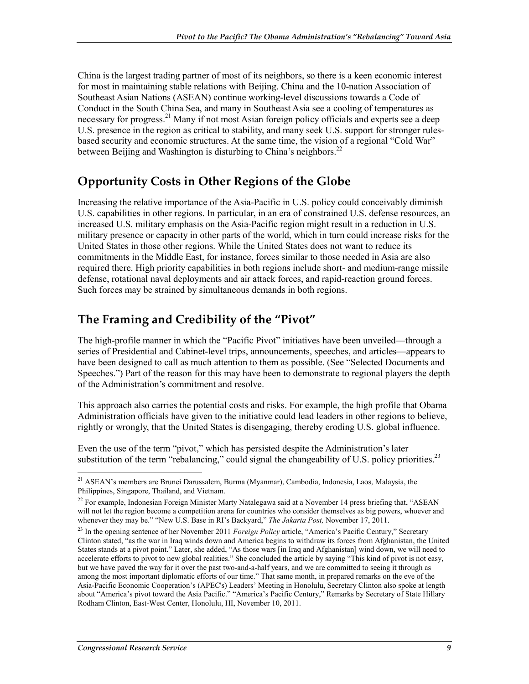China is the largest trading partner of most of its neighbors, so there is a keen economic interest for most in maintaining stable relations with Beijing. China and the 10-nation Association of Southeast Asian Nations (ASEAN) continue working-level discussions towards a Code of Conduct in the South China Sea, and many in Southeast Asia see a cooling of temperatures as necessary for progress.<sup>21</sup> Many if not most Asian foreign policy officials and experts see a deep U.S. presence in the region as critical to stability, and many seek U.S. support for stronger rulesbased security and economic structures. At the same time, the vision of a regional "Cold War" between Beijing and Washington is disturbing to China's neighbors.<sup>22</sup>

### **Opportunity Costs in Other Regions of the Globe**

Increasing the relative importance of the Asia-Pacific in U.S. policy could conceivably diminish U.S. capabilities in other regions. In particular, in an era of constrained U.S. defense resources, an increased U.S. military emphasis on the Asia-Pacific region might result in a reduction in U.S. military presence or capacity in other parts of the world, which in turn could increase risks for the United States in those other regions. While the United States does not want to reduce its commitments in the Middle East, for instance, forces similar to those needed in Asia are also required there. High priority capabilities in both regions include short- and medium-range missile defense, rotational naval deployments and air attack forces, and rapid-reaction ground forces. Such forces may be strained by simultaneous demands in both regions.

### **The Framing and Credibility of the "Pivot"**

The high-profile manner in which the "Pacific Pivot" initiatives have been unveiled—through a series of Presidential and Cabinet-level trips, announcements, speeches, and articles—appears to have been designed to call as much attention to them as possible. (See "Selected Documents and Speeches.") Part of the reason for this may have been to demonstrate to regional players the depth of the Administration's commitment and resolve.

This approach also carries the potential costs and risks. For example, the high profile that Obama Administration officials have given to the initiative could lead leaders in other regions to believe, rightly or wrongly, that the United States is disengaging, thereby eroding U.S. global influence.

Even the use of the term "pivot," which has persisted despite the Administration's later substitution of the term "rebalancing," could signal the changeability of U.S. policy priorities. $^{23}$ 

<u>.</u>

<sup>&</sup>lt;sup>21</sup> ASEAN's members are Brunei Darussalem, Burma (Myanmar), Cambodia, Indonesia, Laos, Malaysia, the Philippines, Singapore, Thailand, and Vietnam.

<sup>&</sup>lt;sup>22</sup> For example, Indonesian Foreign Minister Marty Natalegawa said at a November 14 press briefing that, "ASEAN will not let the region become a competition arena for countries who consider themselves as big powers, whoever and whenever they may be." "New U.S. Base in RI's Backyard," *The Jakarta Post,* November 17, 2011.

<sup>&</sup>lt;sup>23</sup> In the opening sentence of her November 2011 *Foreign Policy* article, "America's Pacific Century," Secretary Clinton stated, "as the war in Iraq winds down and America begins to withdraw its forces from Afghanistan, the United States stands at a pivot point." Later, she added, "As those wars [in Iraq and Afghanistan] wind down, we will need to accelerate efforts to pivot to new global realities." She concluded the article by saying "This kind of pivot is not easy, but we have paved the way for it over the past two-and-a-half years, and we are committed to seeing it through as among the most important diplomatic efforts of our time." That same month, in prepared remarks on the eve of the Asia-Pacific Economic Cooperation's (APEC's) Leaders' Meeting in Honolulu, Secretary Clinton also spoke at length about "America's pivot toward the Asia Pacific." "America's Pacific Century," Remarks by Secretary of State Hillary Rodham Clinton, East-West Center, Honolulu, HI, November 10, 2011.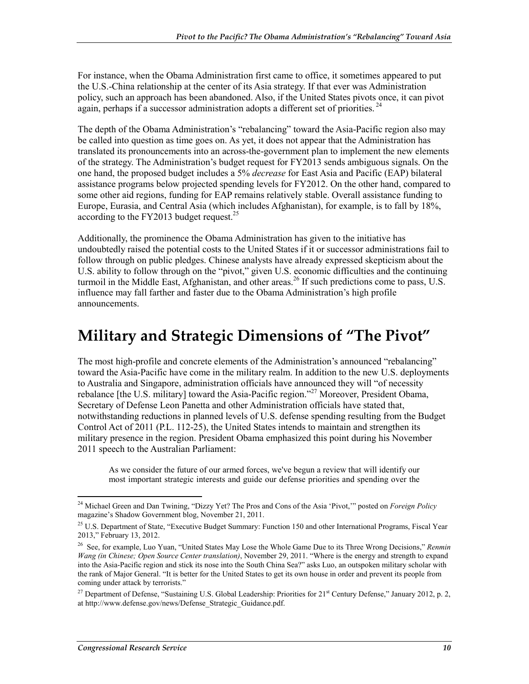For instance, when the Obama Administration first came to office, it sometimes appeared to put the U.S.-China relationship at the center of its Asia strategy. If that ever was Administration policy, such an approach has been abandoned. Also, if the United States pivots once, it can pivot again, perhaps if a successor administration adopts a different set of priorities.<sup>24</sup>

The depth of the Obama Administration's "rebalancing" toward the Asia-Pacific region also may be called into question as time goes on. As yet, it does not appear that the Administration has translated its pronouncements into an across-the-government plan to implement the new elements of the strategy. The Administration's budget request for FY2013 sends ambiguous signals. On the one hand, the proposed budget includes a 5% *decrease* for East Asia and Pacific (EAP) bilateral assistance programs below projected spending levels for FY2012. On the other hand, compared to some other aid regions, funding for EAP remains relatively stable. Overall assistance funding to Europe, Eurasia, and Central Asia (which includes Afghanistan), for example, is to fall by 18%, according to the FY2013 budget request.<sup>25</sup>

Additionally, the prominence the Obama Administration has given to the initiative has undoubtedly raised the potential costs to the United States if it or successor administrations fail to follow through on public pledges. Chinese analysts have already expressed skepticism about the U.S. ability to follow through on the "pivot," given U.S. economic difficulties and the continuing turmoil in the Middle East, Afghanistan, and other areas.<sup>26</sup> If such predictions come to pass, U.S. influence may fall farther and faster due to the Obama Administration's high profile announcements.

## **Military and Strategic Dimensions of "The Pivot"**

The most high-profile and concrete elements of the Administration's announced "rebalancing" toward the Asia-Pacific have come in the military realm. In addition to the new U.S. deployments to Australia and Singapore, administration officials have announced they will "of necessity rebalance [the U.S. military] toward the Asia-Pacific region.<sup>227</sup> Moreover, President Obama, Secretary of Defense Leon Panetta and other Administration officials have stated that, notwithstanding reductions in planned levels of U.S. defense spending resulting from the Budget Control Act of 2011 (P.L. 112-25), the United States intends to maintain and strengthen its military presence in the region. President Obama emphasized this point during his November 2011 speech to the Australian Parliament:

As we consider the future of our armed forces, we've begun a review that will identify our most important strategic interests and guide our defense priorities and spending over the

<sup>&</sup>lt;u>.</u> 24 Michael Green and Dan Twining, "Dizzy Yet? The Pros and Cons of the Asia 'Pivot,'" posted on *Foreign Policy* magazine's Shadow Government blog, November 21, 2011.

<sup>&</sup>lt;sup>25</sup> U.S. Department of State, "Executive Budget Summary: Function 150 and other International Programs, Fiscal Year 2013," February 13, 2012.

<sup>26</sup> See, for example, Luo Yuan, "United States May Lose the Whole Game Due to its Three Wrong Decisions," *Renmin Wang (in Chinese; Open Source Center translation)*, November 29, 2011. "Where is the energy and strength to expand into the Asia-Pacific region and stick its nose into the South China Sea?" asks Luo, an outspoken military scholar with the rank of Major General. "It is better for the United States to get its own house in order and prevent its people from coming under attack by terrorists."

<sup>&</sup>lt;sup>27</sup> Department of Defense, "Sustaining U.S. Global Leadership: Priorities for  $21<sup>st</sup>$  Century Defense," January 2012, p. 2, at http://www.defense.gov/news/Defense\_Strategic\_Guidance.pdf.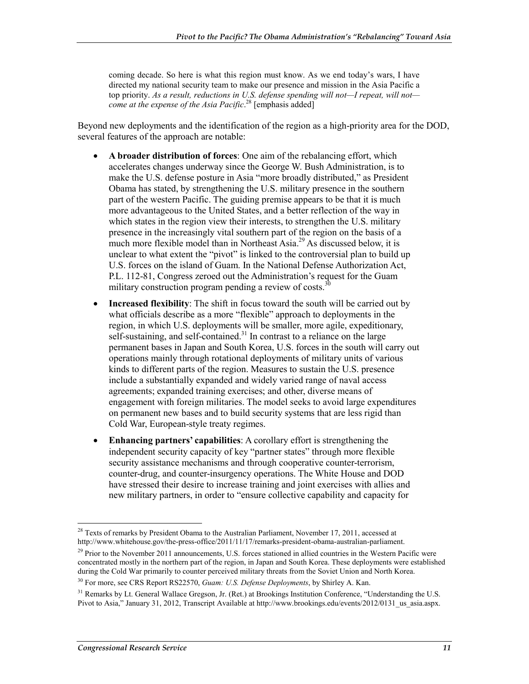coming decade. So here is what this region must know. As we end today's wars, I have directed my national security team to make our presence and mission in the Asia Pacific a top priority. *As a result, reductions in U.S. defense spending will not—I repeat, will not come at the expense of the Asia Pacific*. 28 [emphasis added]

Beyond new deployments and the identification of the region as a high-priority area for the DOD, several features of the approach are notable:

- **A broader distribution of forces**: One aim of the rebalancing effort, which accelerates changes underway since the George W. Bush Administration, is to make the U.S. defense posture in Asia "more broadly distributed," as President Obama has stated, by strengthening the U.S. military presence in the southern part of the western Pacific. The guiding premise appears to be that it is much more advantageous to the United States, and a better reflection of the way in which states in the region view their interests, to strengthen the U.S. military presence in the increasingly vital southern part of the region on the basis of a much more flexible model than in Northeast Asia.<sup>29</sup> As discussed below, it is unclear to what extent the "pivot" is linked to the controversial plan to build up U.S. forces on the island of Guam. In the National Defense Authorization Act, P.L. 112-81, Congress zeroed out the Administration's request for the Guam military construction program pending a review of costs.<sup>3</sup>
- **Increased flexibility**: The shift in focus toward the south will be carried out by what officials describe as a more "flexible" approach to deployments in the region, in which U.S. deployments will be smaller, more agile, expeditionary, self-sustaining, and self-contained.<sup>31</sup> In contrast to a reliance on the large permanent bases in Japan and South Korea, U.S. forces in the south will carry out operations mainly through rotational deployments of military units of various kinds to different parts of the region. Measures to sustain the U.S. presence include a substantially expanded and widely varied range of naval access agreements; expanded training exercises; and other, diverse means of engagement with foreign militaries. The model seeks to avoid large expenditures on permanent new bases and to build security systems that are less rigid than Cold War, European-style treaty regimes.
- **Enhancing partners' capabilities**: A corollary effort is strengthening the independent security capacity of key "partner states" through more flexible security assistance mechanisms and through cooperative counter-terrorism, counter-drug, and counter-insurgency operations. The White House and DOD have stressed their desire to increase training and joint exercises with allies and new military partners, in order to "ensure collective capability and capacity for

<sup>1</sup>  $28$  Texts of remarks by President Obama to the Australian Parliament, November 17, 2011, accessed at http://www.whitehouse.gov/the-press-office/2011/11/17/remarks-president-obama-australian-parliament.

 $^{29}$  Prior to the November 2011 announcements, U.S. forces stationed in allied countries in the Western Pacific were concentrated mostly in the northern part of the region, in Japan and South Korea. These deployments were established during the Cold War primarily to counter perceived military threats from the Soviet Union and North Korea.

<sup>30</sup> For more, see CRS Report RS22570, *Guam: U.S. Defense Deployments*, by Shirley A. Kan.

 $31$  Remarks by Lt. General Wallace Gregson, Jr. (Ret.) at Brookings Institution Conference, "Understanding the U.S. Pivot to Asia," January 31, 2012, Transcript Available at http://www.brookings.edu/events/2012/0131\_us\_asia.aspx.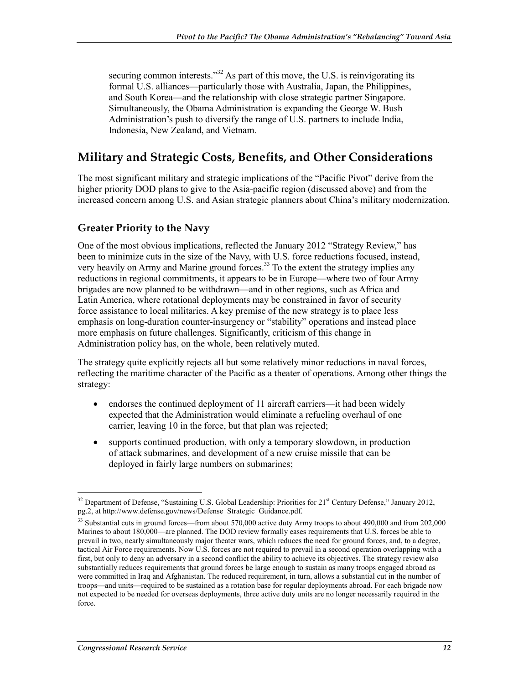securing common interests."<sup>32</sup> As part of this move, the U.S. is reinvigorating its formal U.S. alliances—particularly those with Australia, Japan, the Philippines, and South Korea—and the relationship with close strategic partner Singapore. Simultaneously, the Obama Administration is expanding the George W. Bush Administration's push to diversify the range of U.S. partners to include India, Indonesia, New Zealand, and Vietnam.

### **Military and Strategic Costs, Benefits, and Other Considerations**

The most significant military and strategic implications of the "Pacific Pivot" derive from the higher priority DOD plans to give to the Asia-pacific region (discussed above) and from the increased concern among U.S. and Asian strategic planners about China's military modernization.

#### **Greater Priority to the Navy**

One of the most obvious implications, reflected the January 2012 "Strategy Review," has been to minimize cuts in the size of the Navy, with U.S. force reductions focused, instead, very heavily on Army and Marine ground forces.<sup>33</sup> To the extent the strategy implies any reductions in regional commitments, it appears to be in Europe—where two of four Army brigades are now planned to be withdrawn—and in other regions, such as Africa and Latin America, where rotational deployments may be constrained in favor of security force assistance to local militaries. A key premise of the new strategy is to place less emphasis on long-duration counter-insurgency or "stability" operations and instead place more emphasis on future challenges. Significantly, criticism of this change in Administration policy has, on the whole, been relatively muted.

The strategy quite explicitly rejects all but some relatively minor reductions in naval forces, reflecting the maritime character of the Pacific as a theater of operations. Among other things the strategy:

- endorses the continued deployment of 11 aircraft carriers—it had been widely expected that the Administration would eliminate a refueling overhaul of one carrier, leaving 10 in the force, but that plan was rejected;
- supports continued production, with only a temporary slowdown, in production of attack submarines, and development of a new cruise missile that can be deployed in fairly large numbers on submarines;

<sup>1</sup> <sup>32</sup> Department of Defense, "Sustaining U.S. Global Leadership: Priorities for 21<sup>st</sup> Century Defense," January 2012, pg.2, at http://www.defense.gov/news/Defense\_Strategic\_Guidance.pdf.

<sup>&</sup>lt;sup>33</sup> Substantial cuts in ground forces—from about 570,000 active duty Army troops to about 490,000 and from 202,000 Marines to about 180,000—are planned. The DOD review formally eases requirements that U.S. forces be able to prevail in two, nearly simultaneously major theater wars, which reduces the need for ground forces, and, to a degree, tactical Air Force requirements. Now U.S. forces are not required to prevail in a second operation overlapping with a first, but only to deny an adversary in a second conflict the ability to achieve its objectives. The strategy review also substantially reduces requirements that ground forces be large enough to sustain as many troops engaged abroad as were committed in Iraq and Afghanistan. The reduced requirement, in turn, allows a substantial cut in the number of troops—and units—required to be sustained as a rotation base for regular deployments abroad. For each brigade now not expected to be needed for overseas deployments, three active duty units are no longer necessarily required in the force.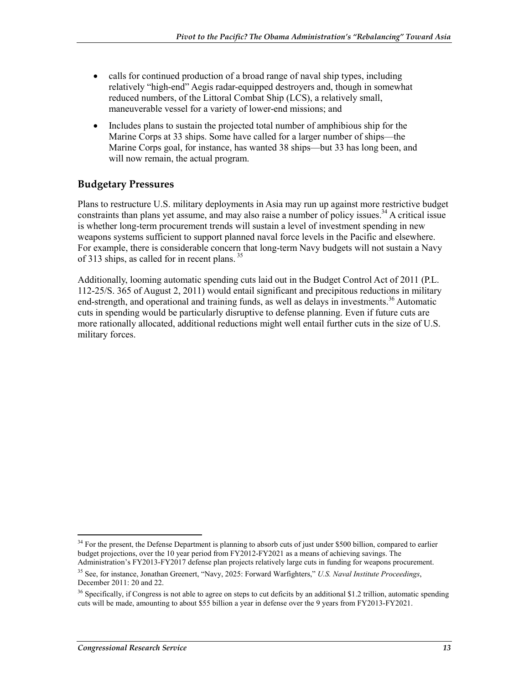- calls for continued production of a broad range of naval ship types, including relatively "high-end" Aegis radar-equipped destroyers and, though in somewhat reduced numbers, of the Littoral Combat Ship (LCS), a relatively small, maneuverable vessel for a variety of lower-end missions; and
- Includes plans to sustain the projected total number of amphibious ship for the Marine Corps at 33 ships. Some have called for a larger number of ships—the Marine Corps goal, for instance, has wanted 38 ships—but 33 has long been, and will now remain, the actual program.

#### **Budgetary Pressures**

Plans to restructure U.S. military deployments in Asia may run up against more restrictive budget constraints than plans yet assume, and may also raise a number of policy issues.<sup>34</sup> A critical issue is whether long-term procurement trends will sustain a level of investment spending in new weapons systems sufficient to support planned naval force levels in the Pacific and elsewhere. For example, there is considerable concern that long-term Navy budgets will not sustain a Navy of 313 ships, as called for in recent plans.<sup>35</sup>

Additionally, looming automatic spending cuts laid out in the Budget Control Act of 2011 (P.L. 112-25/S. 365 of August 2, 2011) would entail significant and precipitous reductions in military end-strength, and operational and training funds, as well as delays in investments.<sup>36</sup> Automatic cuts in spending would be particularly disruptive to defense planning. Even if future cuts are more rationally allocated, additional reductions might well entail further cuts in the size of U.S. military forces.

<sup>1</sup>  $34$  For the present, the Defense Department is planning to absorb cuts of just under \$500 billion, compared to earlier budget projections, over the 10 year period from FY2012-FY2021 as a means of achieving savings. The Administration's FY2013-FY2017 defense plan projects relatively large cuts in funding for weapons procurement.

<sup>35</sup> See, for instance, Jonathan Greenert, "Navy, 2025: Forward Warfighters," *U.S. Naval Institute Proceedings*, December 2011: 20 and 22.

<sup>&</sup>lt;sup>36</sup> Specifically, if Congress is not able to agree on steps to cut deficits by an additional \$1.2 trillion, automatic spending cuts will be made, amounting to about \$55 billion a year in defense over the 9 years from FY2013-FY2021.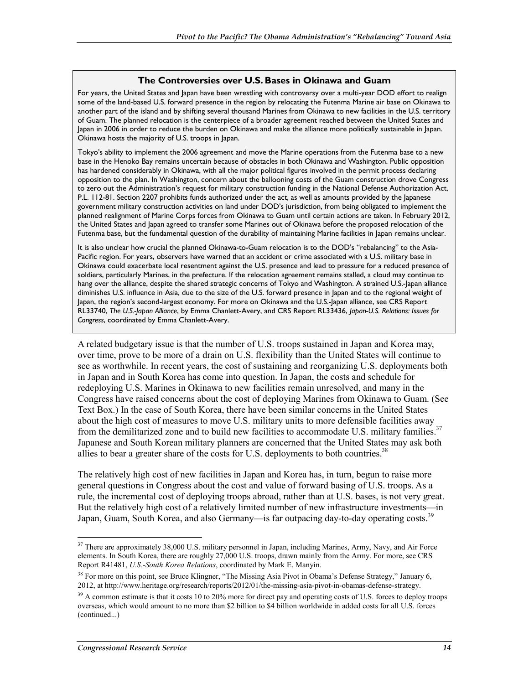#### **The Controversies over U.S. Bases in Okinawa and Guam**

For years, the United States and Japan have been wrestling with controversy over a multi-year DOD effort to realign some of the land-based U.S. forward presence in the region by relocating the Futenma Marine air base on Okinawa to another part of the island and by shifting several thousand Marines from Okinawa to new facilities in the U.S. territory of Guam. The planned relocation is the centerpiece of a broader agreement reached between the United States and Japan in 2006 in order to reduce the burden on Okinawa and make the alliance more politically sustainable in Japan. Okinawa hosts the majority of U.S. troops in Japan.

Tokyo's ability to implement the 2006 agreement and move the Marine operations from the Futenma base to a new base in the Henoko Bay remains uncertain because of obstacles in both Okinawa and Washington. Public opposition has hardened considerably in Okinawa, with all the major political figures involved in the permit process declaring opposition to the plan. In Washington, concern about the ballooning costs of the Guam construction drove Congress to zero out the Administration's request for military construction funding in the National Defense Authorization Act, P.L. 112-81. Section 2207 prohibits funds authorized under the act, as well as amounts provided by the Japanese government military construction activities on land under DOD's jurisdiction, from being obligated to implement the planned realignment of Marine Corps forces from Okinawa to Guam until certain actions are taken. In February 2012, the United States and Japan agreed to transfer some Marines out of Okinawa before the proposed relocation of the Futenma base, but the fundamental question of the durability of maintaining Marine facilities in Japan remains unclear.

It is also unclear how crucial the planned Okinawa-to-Guam relocation is to the DOD's "rebalancing" to the Asia-Pacific region. For years, observers have warned that an accident or crime associated with a U.S. military base in Okinawa could exacerbate local resentment against the U.S. presence and lead to pressure for a reduced presence of soldiers, particularly Marines, in the prefecture. If the relocation agreement remains stalled, a cloud may continue to hang over the alliance, despite the shared strategic concerns of Tokyo and Washington. A strained U.S.-Japan alliance diminishes U.S. influence in Asia, due to the size of the U.S. forward presence in Japan and to the regional weight of Japan, the region's second-largest economy. For more on Okinawa and the U.S.-Japan alliance, see CRS Report RL33740, *The U.S.-Japan Alliance*, by Emma Chanlett-Avery, and CRS Report RL33436, *Japan-U.S. Relations: Issues for Congress*, coordinated by Emma Chanlett-Avery.

A related budgetary issue is that the number of U.S. troops sustained in Japan and Korea may, over time, prove to be more of a drain on U.S. flexibility than the United States will continue to see as worthwhile. In recent years, the cost of sustaining and reorganizing U.S. deployments both in Japan and in South Korea has come into question. In Japan, the costs and schedule for redeploying U.S. Marines in Okinawa to new facilities remain unresolved, and many in the Congress have raised concerns about the cost of deploying Marines from Okinawa to Guam. (See Text Box.) In the case of South Korea, there have been similar concerns in the United States about the high cost of measures to move U.S. military units to more defensible facilities away from the demilitarized zone and to build new facilities to accommodate U.S. military families.<sup>37</sup> Japanese and South Korean military planners are concerned that the United States may ask both allies to bear a greater share of the costs for U.S. deployments to both countries.<sup>38</sup>

The relatively high cost of new facilities in Japan and Korea has, in turn, begun to raise more general questions in Congress about the cost and value of forward basing of U.S. troops. As a rule, the incremental cost of deploying troops abroad, rather than at U.S. bases, is not very great. But the relatively high cost of a relatively limited number of new infrastructure investments—in Japan, Guam, South Korea, and also Germany—is far outpacing day-to-day operating costs.<sup>39</sup>

 $37$  There are approximately 38,000 U.S. military personnel in Japan, including Marines, Army, Navy, and Air Force elements. In South Korea, there are roughly 27,000 U.S. troops, drawn mainly from the Army. For more, see CRS Report R41481, *U.S.-South Korea Relations*, coordinated by Mark E. Manyin.

<sup>&</sup>lt;sup>38</sup> For more on this point, see Bruce Klingner, "The Missing Asia Pivot in Obama's Defense Strategy," January 6, 2012, at http://www.heritage.org/research/reports/2012/01/the-missing-asia-pivot-in-obamas-defense-strategy.

<sup>&</sup>lt;sup>39</sup> A common estimate is that it costs 10 to 20% more for direct pay and operating costs of U.S. forces to deploy troops overseas, which would amount to no more than \$2 billion to \$4 billion worldwide in added costs for all U.S. forces (continued...)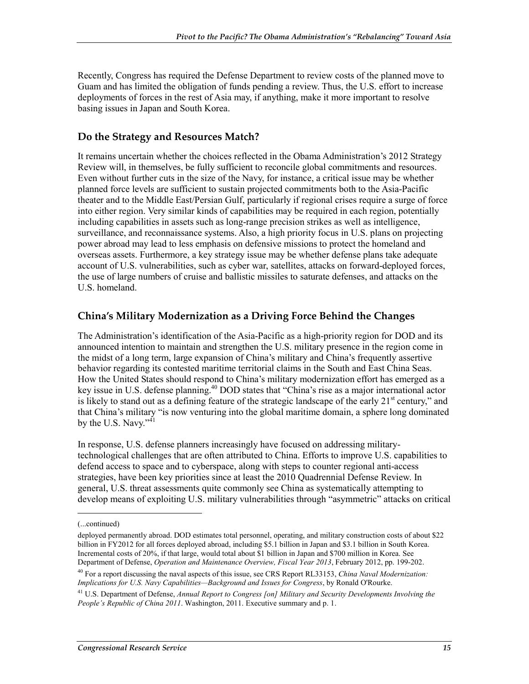Recently, Congress has required the Defense Department to review costs of the planned move to Guam and has limited the obligation of funds pending a review. Thus, the U.S. effort to increase deployments of forces in the rest of Asia may, if anything, make it more important to resolve basing issues in Japan and South Korea.

#### **Do the Strategy and Resources Match?**

It remains uncertain whether the choices reflected in the Obama Administration's 2012 Strategy Review will, in themselves, be fully sufficient to reconcile global commitments and resources. Even without further cuts in the size of the Navy, for instance, a critical issue may be whether planned force levels are sufficient to sustain projected commitments both to the Asia-Pacific theater and to the Middle East/Persian Gulf, particularly if regional crises require a surge of force into either region. Very similar kinds of capabilities may be required in each region, potentially including capabilities in assets such as long-range precision strikes as well as intelligence, surveillance, and reconnaissance systems. Also, a high priority focus in U.S. plans on projecting power abroad may lead to less emphasis on defensive missions to protect the homeland and overseas assets. Furthermore, a key strategy issue may be whether defense plans take adequate account of U.S. vulnerabilities, such as cyber war, satellites, attacks on forward-deployed forces, the use of large numbers of cruise and ballistic missiles to saturate defenses, and attacks on the U.S. homeland.

#### **China's Military Modernization as a Driving Force Behind the Changes**

The Administration's identification of the Asia-Pacific as a high-priority region for DOD and its announced intention to maintain and strengthen the U.S. military presence in the region come in the midst of a long term, large expansion of China's military and China's frequently assertive behavior regarding its contested maritime territorial claims in the South and East China Seas. How the United States should respond to China's military modernization effort has emerged as a key issue in U.S. defense planning.<sup>40</sup> DOD states that "China's rise as a major international actor is likely to stand out as a defining feature of the strategic landscape of the early 21<sup>st</sup> century," and that China's military "is now venturing into the global maritime domain, a sphere long dominated by the U.S. Navy." $41$ 

In response, U.S. defense planners increasingly have focused on addressing militarytechnological challenges that are often attributed to China. Efforts to improve U.S. capabilities to defend access to space and to cyberspace, along with steps to counter regional anti-access strategies, have been key priorities since at least the 2010 Quadrennial Defense Review. In general, U.S. threat assessments quite commonly see China as systematically attempting to develop means of exploiting U.S. military vulnerabilities through "asymmetric" attacks on critical

 $\overline{a}$ 

<sup>(...</sup>continued)

deployed permanently abroad. DOD estimates total personnel, operating, and military construction costs of about \$22 billion in FY2012 for all forces deployed abroad, including \$5.1 billion in Japan and \$3.1 billion in South Korea. Incremental costs of 20%, if that large, would total about \$1 billion in Japan and \$700 million in Korea. See Department of Defense, *Operation and Maintenance Overview, Fiscal Year 2013*, February 2012, pp. 199-202.

<sup>40</sup> For a report discussing the naval aspects of this issue, see CRS Report RL33153, *China Naval Modernization: Implications for U.S. Navy Capabilities—Background and Issues for Congress*, by Ronald O'Rourke.

<sup>41</sup> U.S. Department of Defense, *Annual Report to Congress [on] Military and Security Developments Involving the People's Republic of China 2011*. Washington, 2011. Executive summary and p. 1.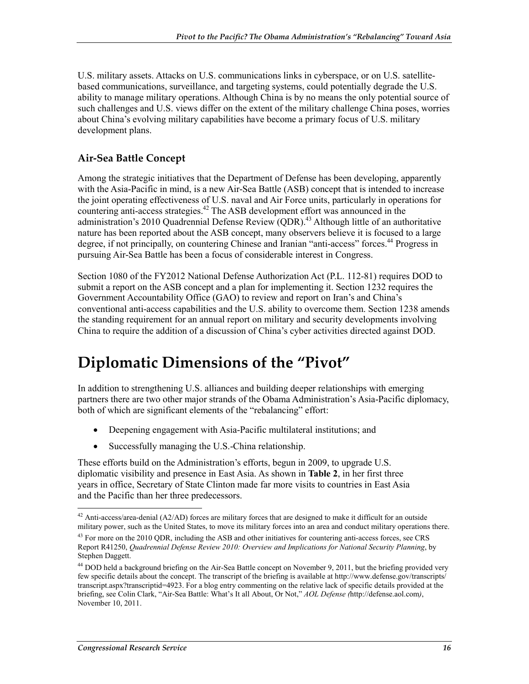U.S. military assets. Attacks on U.S. communications links in cyberspace, or on U.S. satellitebased communications, surveillance, and targeting systems, could potentially degrade the U.S. ability to manage military operations. Although China is by no means the only potential source of such challenges and U.S. views differ on the extent of the military challenge China poses, worries about China's evolving military capabilities have become a primary focus of U.S. military development plans.

#### **Air-Sea Battle Concept**

Among the strategic initiatives that the Department of Defense has been developing, apparently with the Asia-Pacific in mind, is a new Air-Sea Battle (ASB) concept that is intended to increase the joint operating effectiveness of U.S. naval and Air Force units, particularly in operations for countering anti-access strategies.<sup>42</sup> The ASB development effort was announced in the administration's 2010 Quadrennial Defense Review  $(QDR)$ <sup>43</sup> Although little of an authoritative nature has been reported about the ASB concept, many observers believe it is focused to a large degree, if not principally, on countering Chinese and Iranian "anti-access" forces.<sup>44</sup> Progress in pursuing Air-Sea Battle has been a focus of considerable interest in Congress.

Section 1080 of the FY2012 National Defense Authorization Act (P.L. 112-81) requires DOD to submit a report on the ASB concept and a plan for implementing it. Section 1232 requires the Government Accountability Office (GAO) to review and report on Iran's and China's conventional anti-access capabilities and the U.S. ability to overcome them. Section 1238 amends the standing requirement for an annual report on military and security developments involving China to require the addition of a discussion of China's cyber activities directed against DOD.

## **Diplomatic Dimensions of the "Pivot"**

In addition to strengthening U.S. alliances and building deeper relationships with emerging partners there are two other major strands of the Obama Administration's Asia-Pacific diplomacy, both of which are significant elements of the "rebalancing" effort:

- Deepening engagement with Asia-Pacific multilateral institutions; and
- Successfully managing the U.S.-China relationship.

These efforts build on the Administration's efforts, begun in 2009, to upgrade U.S. diplomatic visibility and presence in East Asia. As shown in **Table 2**, in her first three years in office, Secretary of State Clinton made far more visits to countries in East Asia and the Pacific than her three predecessors.

 $42$  Anti-access/area-denial (A2/AD) forces are military forces that are designed to make it difficult for an outside military power, such as the United States, to move its military forces into an area and conduct military operations there.

<sup>&</sup>lt;sup>43</sup> For more on the 2010 QDR, including the ASB and other initiatives for countering anti-access forces, see CRS Report R41250, *Quadrennial Defense Review 2010: Overview and Implications for National Security Planning*, by Stephen Daggett.

<sup>&</sup>lt;sup>44</sup> DOD held a background briefing on the Air-Sea Battle concept on November 9, 2011, but the briefing provided very few specific details about the concept. The transcript of the briefing is available at http://www.defense.gov/transcripts/ transcript.aspx?transcriptid=4923. For a blog entry commenting on the relative lack of specific details provided at the briefing, see Colin Clark, "Air-Sea Battle: What's It all About, Or Not," *AOL Defense (*http://defense.aol.com*)*, November 10, 2011.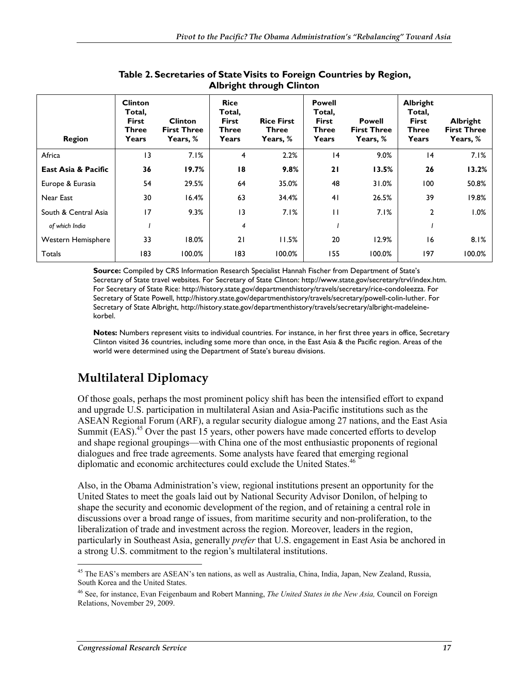| <b>Region</b>        | <b>Clinton</b><br>Total,<br><b>First</b><br>Three<br>Years | <b>Clinton</b><br><b>First Three</b><br>Years, % | <b>Rice</b><br>Total,<br><b>First</b><br><b>Three</b><br>Years | <b>Rice First</b><br><b>Three</b><br>Years, % | <b>Powell</b><br>Total,<br><b>First</b><br>Three<br>Years | <b>Powell</b><br><b>First Three</b><br>Years, % | <b>Albright</b><br>Total,<br><b>First</b><br><b>Three</b><br>Years | Albright<br><b>First Three</b><br>Years, % |
|----------------------|------------------------------------------------------------|--------------------------------------------------|----------------------------------------------------------------|-----------------------------------------------|-----------------------------------------------------------|-------------------------------------------------|--------------------------------------------------------------------|--------------------------------------------|
| Africa               | 13                                                         | 7.1%                                             | 4                                                              | 2.2%                                          | 4                                                         | 9.0%                                            | 4                                                                  | 7.1%                                       |
| East Asia & Pacific  | 36                                                         | 19.7%                                            | 18                                                             | 9.8%                                          | 21                                                        | 13.5%                                           | 26                                                                 | 13.2%                                      |
| Europe & Eurasia     | 54                                                         | 29.5%                                            | 64                                                             | 35.0%                                         | 48                                                        | 31.0%                                           | 100                                                                | 50.8%                                      |
| Near East            | 30                                                         | 16.4%                                            | 63                                                             | 34.4%                                         | 4 <sub>1</sub>                                            | 26.5%                                           | 39                                                                 | 19.8%                                      |
| South & Central Asia | 17                                                         | 9.3%                                             | $\overline{13}$                                                | 7.1%                                          | П                                                         | 7.1%                                            | 2                                                                  | $1.0\%$                                    |
| of which India       |                                                            |                                                  | 4                                                              |                                               |                                                           |                                                 |                                                                    |                                            |
| Western Hemisphere   | 33                                                         | 18.0%                                            | 21                                                             | 11.5%                                         | 20                                                        | 12.9%                                           | 16                                                                 | 8.1%                                       |
| Totals               | 183                                                        | 100.0%                                           | 183                                                            | 100.0%                                        | 155                                                       | 100.0%                                          | 197                                                                | 100.0%                                     |

#### **Table 2. Secretaries of State Visits to Foreign Countries by Region, Albright through Clinton**

**Source:** Compiled by CRS Information Research Specialist Hannah Fischer from Department of State's Secretary of State travel websites. For Secretary of State Clinton: http://www.state.gov/secretary/trvl/index.htm. For Secretary of State Rice: http://history.state.gov/departmenthistory/travels/secretary/rice-condoleezza. For Secretary of State Powell, http://history.state.gov/departmenthistory/travels/secretary/powell-colin-luther. For Secretary of State Albright, http://history.state.gov/departmenthistory/travels/secretary/albright-madeleinekorbel.

**Notes:** Numbers represent visits to individual countries. For instance, in her first three years in office, Secretary Clinton visited 36 countries, including some more than once, in the East Asia & the Pacific region. Areas of the world were determined using the Department of State's bureau divisions.

## **Multilateral Diplomacy**

Of those goals, perhaps the most prominent policy shift has been the intensified effort to expand and upgrade U.S. participation in multilateral Asian and Asia-Pacific institutions such as the ASEAN Regional Forum (ARF), a regular security dialogue among 27 nations, and the East Asia Summit (EAS).<sup>45</sup> Over the past 15 years, other powers have made concerted efforts to develop and shape regional groupings—with China one of the most enthusiastic proponents of regional dialogues and free trade agreements. Some analysts have feared that emerging regional diplomatic and economic architectures could exclude the United States.<sup>46</sup>

Also, in the Obama Administration's view, regional institutions present an opportunity for the United States to meet the goals laid out by National Security Advisor Donilon, of helping to shape the security and economic development of the region, and of retaining a central role in discussions over a broad range of issues, from maritime security and non-proliferation, to the liberalization of trade and investment across the region. Moreover, leaders in the region, particularly in Southeast Asia, generally *prefer* that U.S. engagement in East Asia be anchored in a strong U.S. commitment to the region's multilateral institutions.

<sup>1</sup> <sup>45</sup> The EAS's members are ASEAN's ten nations, as well as Australia, China, India, Japan, New Zealand, Russia, South Korea and the United States.

<sup>46</sup> See, for instance, Evan Feigenbaum and Robert Manning, *The United States in the New Asia,* Council on Foreign Relations, November 29, 2009.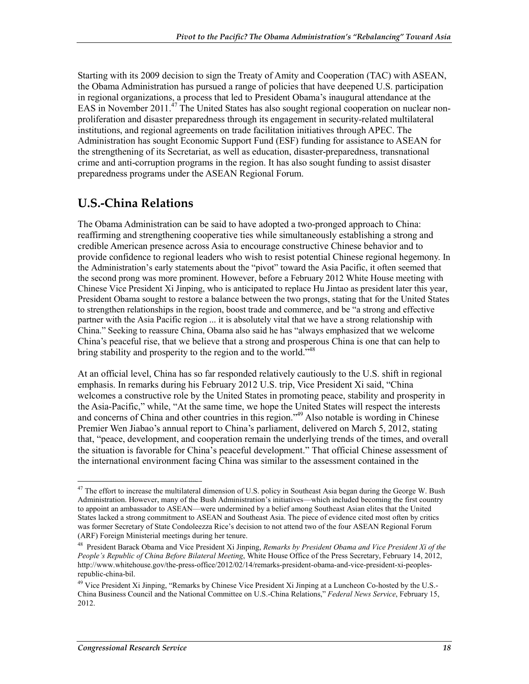Starting with its 2009 decision to sign the Treaty of Amity and Cooperation (TAC) with ASEAN, the Obama Administration has pursued a range of policies that have deepened U.S. participation in regional organizations, a process that led to President Obama's inaugural attendance at the EAS in November 2011.<sup>47</sup> The United States has also sought regional cooperation on nuclear nonproliferation and disaster preparedness through its engagement in security-related multilateral institutions, and regional agreements on trade facilitation initiatives through APEC. The Administration has sought Economic Support Fund (ESF) funding for assistance to ASEAN for the strengthening of its Secretariat, as well as education, disaster-preparedness, transnational crime and anti-corruption programs in the region. It has also sought funding to assist disaster preparedness programs under the ASEAN Regional Forum.

### **U.S.-China Relations**

The Obama Administration can be said to have adopted a two-pronged approach to China: reaffirming and strengthening cooperative ties while simultaneously establishing a strong and credible American presence across Asia to encourage constructive Chinese behavior and to provide confidence to regional leaders who wish to resist potential Chinese regional hegemony. In the Administration's early statements about the "pivot" toward the Asia Pacific, it often seemed that the second prong was more prominent. However, before a February 2012 White House meeting with Chinese Vice President Xi Jinping, who is anticipated to replace Hu Jintao as president later this year, President Obama sought to restore a balance between the two prongs, stating that for the United States to strengthen relationships in the region, boost trade and commerce, and be "a strong and effective partner with the Asia Pacific region ... it is absolutely vital that we have a strong relationship with China." Seeking to reassure China, Obama also said he has "always emphasized that we welcome China's peaceful rise, that we believe that a strong and prosperous China is one that can help to bring stability and prosperity to the region and to the world."48

At an official level, China has so far responded relatively cautiously to the U.S. shift in regional emphasis. In remarks during his February 2012 U.S. trip, Vice President Xi said, "China welcomes a constructive role by the United States in promoting peace, stability and prosperity in the Asia-Pacific," while, "At the same time, we hope the United States will respect the interests and concerns of China and other countries in this region.<sup>149</sup> Also notable is wording in Chinese Premier Wen Jiabao's annual report to China's parliament, delivered on March 5, 2012, stating that, "peace, development, and cooperation remain the underlying trends of the times, and overall the situation is favorable for China's peaceful development." That official Chinese assessment of the international environment facing China was similar to the assessment contained in the

<u>.</u>

 $47$  The effort to increase the multilateral dimension of U.S. policy in Southeast Asia began during the George W. Bush Administration. However, many of the Bush Administration's initiatives—which included becoming the first country to appoint an ambassador to ASEAN—were undermined by a belief among Southeast Asian elites that the United States lacked a strong commitment to ASEAN and Southeast Asia. The piece of evidence cited most often by critics was former Secretary of State Condoleezza Rice's decision to not attend two of the four ASEAN Regional Forum (ARF) Foreign Ministerial meetings during her tenure.

<sup>48</sup> President Barack Obama and Vice President Xi Jinping, *Remarks by President Obama and Vice President Xi of the People's Republic of China Before Bilateral Meeting*, White House Office of the Press Secretary, February 14, 2012, http://www.whitehouse.gov/the-press-office/2012/02/14/remarks-president-obama-and-vice-president-xi-peoplesrepublic-china-bil.

<sup>&</sup>lt;sup>49</sup> Vice President Xi Jinping, "Remarks by Chinese Vice President Xi Jinping at a Luncheon Co-hosted by the U.S.-China Business Council and the National Committee on U.S.-China Relations," *Federal News Service*, February 15, 2012.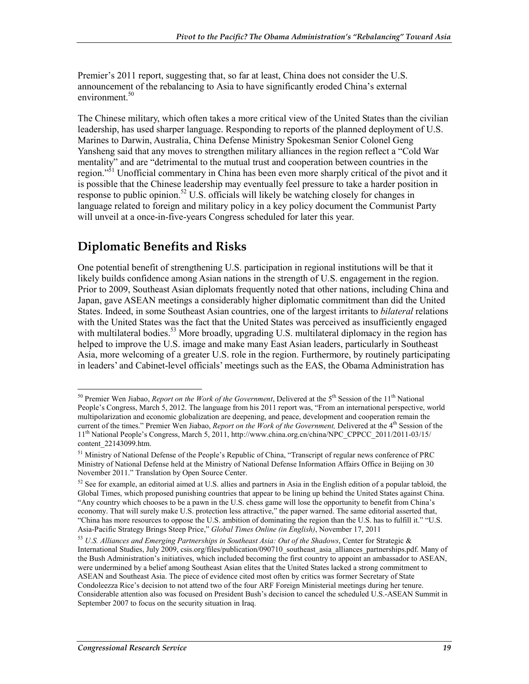Premier's 2011 report, suggesting that, so far at least, China does not consider the U.S. announcement of the rebalancing to Asia to have significantly eroded China's external environment.<sup>50</sup>

The Chinese military, which often takes a more critical view of the United States than the civilian leadership, has used sharper language. Responding to reports of the planned deployment of U.S. Marines to Darwin, Australia, China Defense Ministry Spokesman Senior Colonel Geng Yansheng said that any moves to strengthen military alliances in the region reflect a "Cold War mentality" and are "detrimental to the mutual trust and cooperation between countries in the region."<sup>51</sup> Unofficial commentary in China has been even more sharply critical of the pivot and it is possible that the Chinese leadership may eventually feel pressure to take a harder position in response to public opinion.<sup>52</sup> U.S. officials will likely be watching closely for changes in language related to foreign and military policy in a key policy document the Communist Party will unveil at a once-in-five-years Congress scheduled for later this year.

## **Diplomatic Benefits and Risks**

One potential benefit of strengthening U.S. participation in regional institutions will be that it likely builds confidence among Asian nations in the strength of U.S. engagement in the region. Prior to 2009, Southeast Asian diplomats frequently noted that other nations, including China and Japan, gave ASEAN meetings a considerably higher diplomatic commitment than did the United States. Indeed, in some Southeast Asian countries, one of the largest irritants to *bilateral* relations with the United States was the fact that the United States was perceived as insufficiently engaged with multilateral bodies.<sup>53</sup> More broadly, upgrading U.S. multilateral diplomacy in the region has helped to improve the U.S. image and make many East Asian leaders, particularly in Southeast Asia, more welcoming of a greater U.S. role in the region. Furthermore, by routinely participating in leaders' and Cabinet-level officials' meetings such as the EAS, the Obama Administration has

<sup>1</sup> <sup>50</sup> Premier Wen Jiabao, *Report on the Work of the Government*, Delivered at the 5<sup>th</sup> Session of the 11<sup>th</sup> National People's Congress, March 5, 2012. The language from his 2011 report was, "From an international perspective, world multipolarization and economic globalization are deepening, and peace, development and cooperation remain the current of the times." Premier Wen Jiabao, *Report on the Work of the Government,* Delivered at the 4th Session of the 11th National People's Congress, March 5, 2011, http://www.china.org.cn/china/NPC\_CPPCC\_2011/2011-03/15/ content\_22143099.htm.

<sup>51</sup> Ministry of National Defense of the People's Republic of China, "Transcript of regular news conference of PRC Ministry of National Defense held at the Ministry of National Defense Information Affairs Office in Beijing on 30 November 2011." Translation by Open Source Center.

<sup>&</sup>lt;sup>52</sup> See for example, an editorial aimed at U.S. allies and partners in Asia in the English edition of a popular tabloid, the Global Times, which proposed punishing countries that appear to be lining up behind the United States against China. "Any country which chooses to be a pawn in the U.S. chess game will lose the opportunity to benefit from China's economy. That will surely make U.S. protection less attractive," the paper warned. The same editorial asserted that, "China has more resources to oppose the U.S. ambition of dominating the region than the U.S. has to fulfill it." "U.S. Asia-Pacific Strategy Brings Steep Price," *Global Times Online (in English)*, November 17, 2011

<sup>53</sup> *U.S. Alliances and Emerging Partnerships in Southeast Asia: Out of the Shadows*, Center for Strategic & International Studies, July 2009, csis.org/files/publication/090710\_southeast\_asia\_alliances\_partnerships.pdf. Many of the Bush Administration's initiatives, which included becoming the first country to appoint an ambassador to ASEAN, were undermined by a belief among Southeast Asian elites that the United States lacked a strong commitment to ASEAN and Southeast Asia. The piece of evidence cited most often by critics was former Secretary of State Condoleezza Rice's decision to not attend two of the four ARF Foreign Ministerial meetings during her tenure. Considerable attention also was focused on President Bush's decision to cancel the scheduled U.S.-ASEAN Summit in September 2007 to focus on the security situation in Iraq.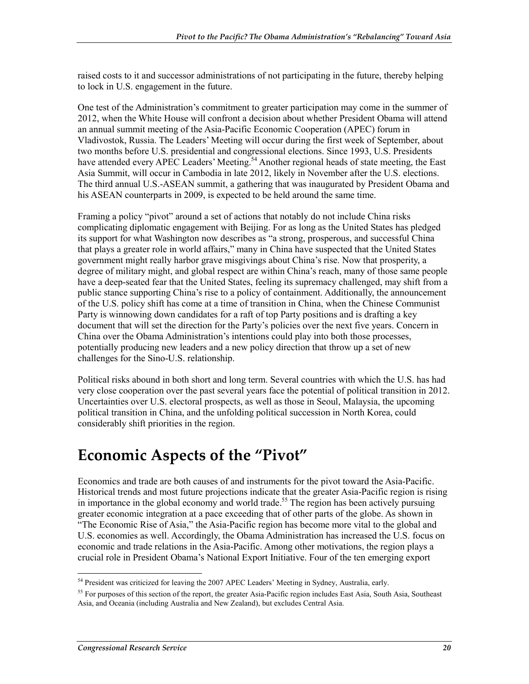raised costs to it and successor administrations of not participating in the future, thereby helping to lock in U.S. engagement in the future.

One test of the Administration's commitment to greater participation may come in the summer of 2012, when the White House will confront a decision about whether President Obama will attend an annual summit meeting of the Asia-Pacific Economic Cooperation (APEC) forum in Vladivostok, Russia. The Leaders' Meeting will occur during the first week of September, about two months before U.S. presidential and congressional elections. Since 1993, U.S. Presidents have attended every APEC Leaders' Meeting.<sup>54</sup> Another regional heads of state meeting, the East Asia Summit, will occur in Cambodia in late 2012, likely in November after the U.S. elections. The third annual U.S.-ASEAN summit, a gathering that was inaugurated by President Obama and his ASEAN counterparts in 2009, is expected to be held around the same time.

Framing a policy "pivot" around a set of actions that notably do not include China risks complicating diplomatic engagement with Beijing. For as long as the United States has pledged its support for what Washington now describes as "a strong, prosperous, and successful China that plays a greater role in world affairs," many in China have suspected that the United States government might really harbor grave misgivings about China's rise. Now that prosperity, a degree of military might, and global respect are within China's reach, many of those same people have a deep-seated fear that the United States, feeling its supremacy challenged, may shift from a public stance supporting China's rise to a policy of containment. Additionally, the announcement of the U.S. policy shift has come at a time of transition in China, when the Chinese Communist Party is winnowing down candidates for a raft of top Party positions and is drafting a key document that will set the direction for the Party's policies over the next five years. Concern in China over the Obama Administration's intentions could play into both those processes, potentially producing new leaders and a new policy direction that throw up a set of new challenges for the Sino-U.S. relationship.

Political risks abound in both short and long term. Several countries with which the U.S. has had very close cooperation over the past several years face the potential of political transition in 2012. Uncertainties over U.S. electoral prospects, as well as those in Seoul, Malaysia, the upcoming political transition in China, and the unfolding political succession in North Korea, could considerably shift priorities in the region.

## **Economic Aspects of the "Pivot"**

Economics and trade are both causes of and instruments for the pivot toward the Asia-Pacific. Historical trends and most future projections indicate that the greater Asia-Pacific region is rising in importance in the global economy and world trade.<sup>55</sup> The region has been actively pursuing greater economic integration at a pace exceeding that of other parts of the globe. As shown in "The Economic Rise of Asia," the Asia-Pacific region has become more vital to the global and U.S. economies as well. Accordingly, the Obama Administration has increased the U.S. focus on economic and trade relations in the Asia-Pacific. Among other motivations, the region plays a crucial role in President Obama's National Export Initiative. Four of the ten emerging export

<sup>&</sup>lt;sup>54</sup> President was criticized for leaving the 2007 APEC Leaders' Meeting in Sydney, Australia, early.

<sup>&</sup>lt;sup>55</sup> For purposes of this section of the report, the greater Asia-Pacific region includes East Asia, South Asia, Southeast Asia, and Oceania (including Australia and New Zealand), but excludes Central Asia.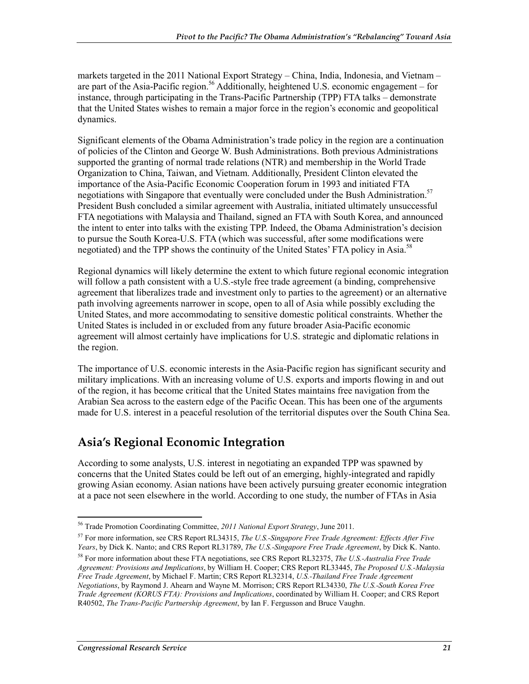markets targeted in the 2011 National Export Strategy – China, India, Indonesia, and Vietnam – are part of the Asia-Pacific region.<sup>56</sup> Additionally, heightened U.S. economic engagement – for instance, through participating in the Trans-Pacific Partnership (TPP) FTA talks – demonstrate that the United States wishes to remain a major force in the region's economic and geopolitical dynamics.

Significant elements of the Obama Administration's trade policy in the region are a continuation of policies of the Clinton and George W. Bush Administrations. Both previous Administrations supported the granting of normal trade relations (NTR) and membership in the World Trade Organization to China, Taiwan, and Vietnam. Additionally, President Clinton elevated the importance of the Asia-Pacific Economic Cooperation forum in 1993 and initiated FTA negotiations with Singapore that eventually were concluded under the Bush Administration.<sup>57</sup> President Bush concluded a similar agreement with Australia, initiated ultimately unsuccessful FTA negotiations with Malaysia and Thailand, signed an FTA with South Korea, and announced the intent to enter into talks with the existing TPP. Indeed, the Obama Administration's decision to pursue the South Korea-U.S. FTA (which was successful, after some modifications were negotiated) and the TPP shows the continuity of the United States' FTA policy in Asia.<sup>58</sup>

Regional dynamics will likely determine the extent to which future regional economic integration will follow a path consistent with a U.S.-style free trade agreement (a binding, comprehensive agreement that liberalizes trade and investment only to parties to the agreement) or an alternative path involving agreements narrower in scope, open to all of Asia while possibly excluding the United States, and more accommodating to sensitive domestic political constraints. Whether the United States is included in or excluded from any future broader Asia-Pacific economic agreement will almost certainly have implications for U.S. strategic and diplomatic relations in the region.

The importance of U.S. economic interests in the Asia-Pacific region has significant security and military implications. With an increasing volume of U.S. exports and imports flowing in and out of the region, it has become critical that the United States maintains free navigation from the Arabian Sea across to the eastern edge of the Pacific Ocean. This has been one of the arguments made for U.S. interest in a peaceful resolution of the territorial disputes over the South China Sea.

### **Asia's Regional Economic Integration**

According to some analysts, U.S. interest in negotiating an expanded TPP was spawned by concerns that the United States could be left out of an emerging, highly-integrated and rapidly growing Asian economy. Asian nations have been actively pursuing greater economic integration at a pace not seen elsewhere in the world. According to one study, the number of FTAs in Asia

<sup>56</sup> Trade Promotion Coordinating Committee, *2011 National Export Strategy*, June 2011.

<sup>57</sup> For more information, see CRS Report RL34315, *The U.S.-Singapore Free Trade Agreement: Effects After Five Years*, by Dick K. Nanto; and CRS Report RL31789, *The U.S.-Singapore Free Trade Agreement*, by Dick K. Nanto.

<sup>58</sup> For more information about these FTA negotiations, see CRS Report RL32375, *The U.S.-Australia Free Trade Agreement: Provisions and Implications*, by William H. Cooper; CRS Report RL33445, *The Proposed U.S.-Malaysia Free Trade Agreement*, by Michael F. Martin; CRS Report RL32314, *U.S.-Thailand Free Trade Agreement Negotiations*, by Raymond J. Ahearn and Wayne M. Morrison; CRS Report RL34330, *The U.S.-South Korea Free Trade Agreement (KORUS FTA): Provisions and Implications*, coordinated by William H. Cooper; and CRS Report R40502, *The Trans-Pacific Partnership Agreement*, by Ian F. Fergusson and Bruce Vaughn.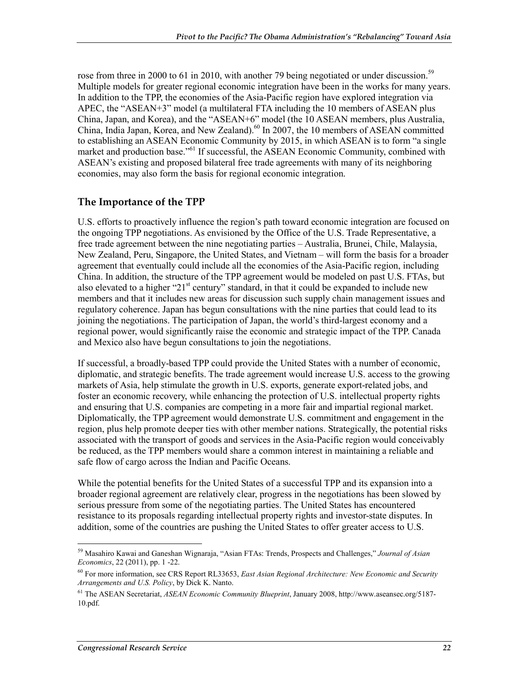rose from three in 2000 to 61 in 2010, with another 79 being negotiated or under discussion.<sup>59</sup> Multiple models for greater regional economic integration have been in the works for many years. In addition to the TPP, the economies of the Asia-Pacific region have explored integration via APEC, the "ASEAN+3" model (a multilateral FTA including the 10 members of ASEAN plus China, Japan, and Korea), and the "ASEAN+6" model (the 10 ASEAN members, plus Australia, China, India Japan, Korea, and New Zealand).<sup>60</sup> In 2007, the 10 members of ASEAN committed to establishing an ASEAN Economic Community by 2015, in which ASEAN is to form "a single market and production base."<sup>61</sup> If successful, the ASEAN Economic Community, combined with ASEAN's existing and proposed bilateral free trade agreements with many of its neighboring economies, may also form the basis for regional economic integration.

#### **The Importance of the TPP**

U.S. efforts to proactively influence the region's path toward economic integration are focused on the ongoing TPP negotiations. As envisioned by the Office of the U.S. Trade Representative, a free trade agreement between the nine negotiating parties – Australia, Brunei, Chile, Malaysia, New Zealand, Peru, Singapore, the United States, and Vietnam – will form the basis for a broader agreement that eventually could include all the economies of the Asia-Pacific region, including China. In addition, the structure of the TPP agreement would be modeled on past U.S. FTAs, but also elevated to a higher "21<sup>st</sup> century" standard, in that it could be expanded to include new members and that it includes new areas for discussion such supply chain management issues and regulatory coherence. Japan has begun consultations with the nine parties that could lead to its joining the negotiations. The participation of Japan, the world's third-largest economy and a regional power, would significantly raise the economic and strategic impact of the TPP. Canada and Mexico also have begun consultations to join the negotiations.

If successful, a broadly-based TPP could provide the United States with a number of economic, diplomatic, and strategic benefits. The trade agreement would increase U.S. access to the growing markets of Asia, help stimulate the growth in U.S. exports, generate export-related jobs, and foster an economic recovery, while enhancing the protection of U.S. intellectual property rights and ensuring that U.S. companies are competing in a more fair and impartial regional market. Diplomatically, the TPP agreement would demonstrate U.S. commitment and engagement in the region, plus help promote deeper ties with other member nations. Strategically, the potential risks associated with the transport of goods and services in the Asia-Pacific region would conceivably be reduced, as the TPP members would share a common interest in maintaining a reliable and safe flow of cargo across the Indian and Pacific Oceans.

While the potential benefits for the United States of a successful TPP and its expansion into a broader regional agreement are relatively clear, progress in the negotiations has been slowed by serious pressure from some of the negotiating parties. The United States has encountered resistance to its proposals regarding intellectual property rights and investor-state disputes. In addition, some of the countries are pushing the United States to offer greater access to U.S.

<sup>59</sup> Masahiro Kawai and Ganeshan Wignaraja, "Asian FTAs: Trends, Prospects and Challenges," *Journal of Asian Economics*, 22 (2011), pp. 1 -22.

<sup>60</sup> For more information, see CRS Report RL33653, *East Asian Regional Architecture: New Economic and Security Arrangements and U.S. Policy*, by Dick K. Nanto.

<sup>61</sup> The ASEAN Secretariat, *ASEAN Economic Community Blueprint*, January 2008, http://www.aseansec.org/5187- 10.pdf.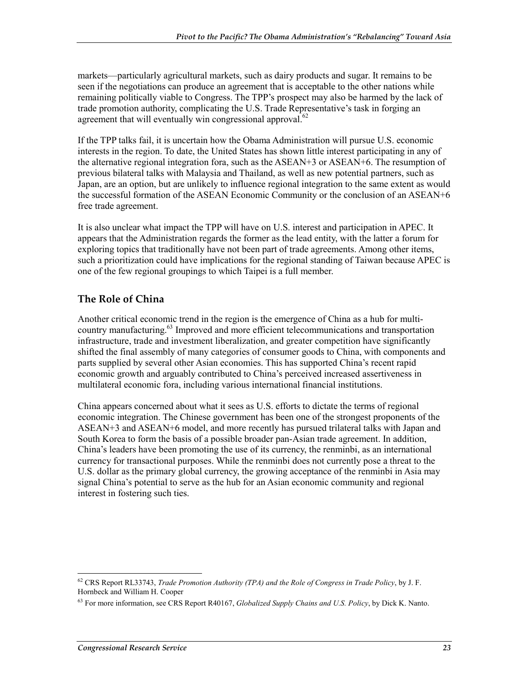markets—particularly agricultural markets, such as dairy products and sugar. It remains to be seen if the negotiations can produce an agreement that is acceptable to the other nations while remaining politically viable to Congress. The TPP's prospect may also be harmed by the lack of trade promotion authority, complicating the U.S. Trade Representative's task in forging an agreement that will eventually win congressional approval. $62$ 

If the TPP talks fail, it is uncertain how the Obama Administration will pursue U.S. economic interests in the region. To date, the United States has shown little interest participating in any of the alternative regional integration fora, such as the ASEAN+3 or ASEAN+6. The resumption of previous bilateral talks with Malaysia and Thailand, as well as new potential partners, such as Japan, are an option, but are unlikely to influence regional integration to the same extent as would the successful formation of the ASEAN Economic Community or the conclusion of an ASEAN+6 free trade agreement.

It is also unclear what impact the TPP will have on U.S. interest and participation in APEC. It appears that the Administration regards the former as the lead entity, with the latter a forum for exploring topics that traditionally have not been part of trade agreements. Among other items, such a prioritization could have implications for the regional standing of Taiwan because APEC is one of the few regional groupings to which Taipei is a full member.

#### **The Role of China**

Another critical economic trend in the region is the emergence of China as a hub for multicountry manufacturing.<sup>63</sup> Improved and more efficient telecommunications and transportation infrastructure, trade and investment liberalization, and greater competition have significantly shifted the final assembly of many categories of consumer goods to China, with components and parts supplied by several other Asian economies. This has supported China's recent rapid economic growth and arguably contributed to China's perceived increased assertiveness in multilateral economic fora, including various international financial institutions.

China appears concerned about what it sees as U.S. efforts to dictate the terms of regional economic integration. The Chinese government has been one of the strongest proponents of the ASEAN+3 and ASEAN+6 model, and more recently has pursued trilateral talks with Japan and South Korea to form the basis of a possible broader pan-Asian trade agreement. In addition, China's leaders have been promoting the use of its currency, the renminbi, as an international currency for transactional purposes. While the renminbi does not currently pose a threat to the U.S. dollar as the primary global currency, the growing acceptance of the renminbi in Asia may signal China's potential to serve as the hub for an Asian economic community and regional interest in fostering such ties.

<sup>62</sup> CRS Report RL33743, *Trade Promotion Authority (TPA) and the Role of Congress in Trade Policy*, by J. F. Hornbeck and William H. Cooper

<sup>63</sup> For more information, see CRS Report R40167, *Globalized Supply Chains and U.S. Policy*, by Dick K. Nanto.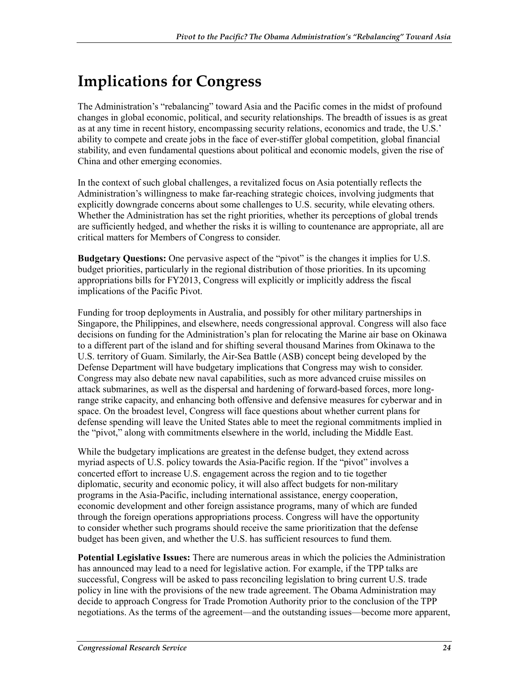## **Implications for Congress**

The Administration's "rebalancing" toward Asia and the Pacific comes in the midst of profound changes in global economic, political, and security relationships. The breadth of issues is as great as at any time in recent history, encompassing security relations, economics and trade, the U.S.' ability to compete and create jobs in the face of ever-stiffer global competition, global financial stability, and even fundamental questions about political and economic models, given the rise of China and other emerging economies.

In the context of such global challenges, a revitalized focus on Asia potentially reflects the Administration's willingness to make far-reaching strategic choices, involving judgments that explicitly downgrade concerns about some challenges to U.S. security, while elevating others. Whether the Administration has set the right priorities, whether its perceptions of global trends are sufficiently hedged, and whether the risks it is willing to countenance are appropriate, all are critical matters for Members of Congress to consider.

**Budgetary Questions:** One pervasive aspect of the "pivot" is the changes it implies for U.S. budget priorities, particularly in the regional distribution of those priorities. In its upcoming appropriations bills for FY2013, Congress will explicitly or implicitly address the fiscal implications of the Pacific Pivot.

Funding for troop deployments in Australia, and possibly for other military partnerships in Singapore, the Philippines, and elsewhere, needs congressional approval. Congress will also face decisions on funding for the Administration's plan for relocating the Marine air base on Okinawa to a different part of the island and for shifting several thousand Marines from Okinawa to the U.S. territory of Guam. Similarly, the Air-Sea Battle (ASB) concept being developed by the Defense Department will have budgetary implications that Congress may wish to consider. Congress may also debate new naval capabilities, such as more advanced cruise missiles on attack submarines, as well as the dispersal and hardening of forward-based forces, more longrange strike capacity, and enhancing both offensive and defensive measures for cyberwar and in space. On the broadest level, Congress will face questions about whether current plans for defense spending will leave the United States able to meet the regional commitments implied in the "pivot," along with commitments elsewhere in the world, including the Middle East.

While the budgetary implications are greatest in the defense budget, they extend across myriad aspects of U.S. policy towards the Asia-Pacific region. If the "pivot" involves a concerted effort to increase U.S. engagement across the region and to tie together diplomatic, security and economic policy, it will also affect budgets for non-military programs in the Asia-Pacific, including international assistance, energy cooperation, economic development and other foreign assistance programs, many of which are funded through the foreign operations appropriations process. Congress will have the opportunity to consider whether such programs should receive the same prioritization that the defense budget has been given, and whether the U.S. has sufficient resources to fund them.

**Potential Legislative Issues:** There are numerous areas in which the policies the Administration has announced may lead to a need for legislative action. For example, if the TPP talks are successful, Congress will be asked to pass reconciling legislation to bring current U.S. trade policy in line with the provisions of the new trade agreement. The Obama Administration may decide to approach Congress for Trade Promotion Authority prior to the conclusion of the TPP negotiations. As the terms of the agreement—and the outstanding issues—become more apparent,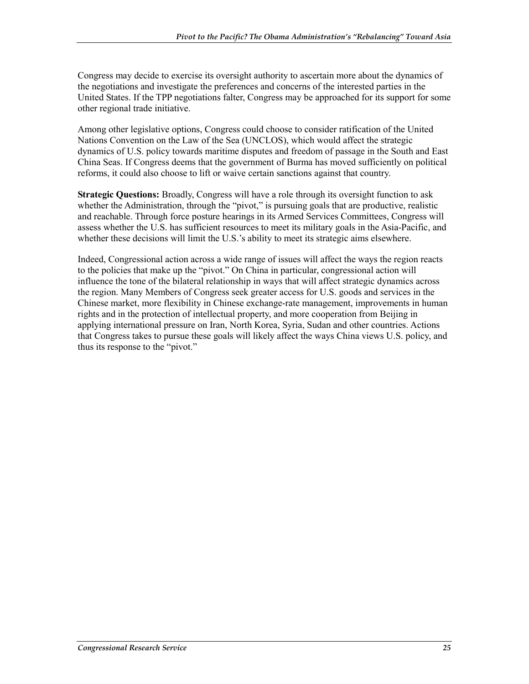Congress may decide to exercise its oversight authority to ascertain more about the dynamics of the negotiations and investigate the preferences and concerns of the interested parties in the United States. If the TPP negotiations falter, Congress may be approached for its support for some other regional trade initiative.

Among other legislative options, Congress could choose to consider ratification of the United Nations Convention on the Law of the Sea (UNCLOS), which would affect the strategic dynamics of U.S. policy towards maritime disputes and freedom of passage in the South and East China Seas. If Congress deems that the government of Burma has moved sufficiently on political reforms, it could also choose to lift or waive certain sanctions against that country.

**Strategic Questions:** Broadly, Congress will have a role through its oversight function to ask whether the Administration, through the "pivot," is pursuing goals that are productive, realistic and reachable. Through force posture hearings in its Armed Services Committees, Congress will assess whether the U.S. has sufficient resources to meet its military goals in the Asia-Pacific, and whether these decisions will limit the U.S.'s ability to meet its strategic aims elsewhere.

Indeed, Congressional action across a wide range of issues will affect the ways the region reacts to the policies that make up the "pivot." On China in particular, congressional action will influence the tone of the bilateral relationship in ways that will affect strategic dynamics across the region. Many Members of Congress seek greater access for U.S. goods and services in the Chinese market, more flexibility in Chinese exchange-rate management, improvements in human rights and in the protection of intellectual property, and more cooperation from Beijing in applying international pressure on Iran, North Korea, Syria, Sudan and other countries. Actions that Congress takes to pursue these goals will likely affect the ways China views U.S. policy, and thus its response to the "pivot."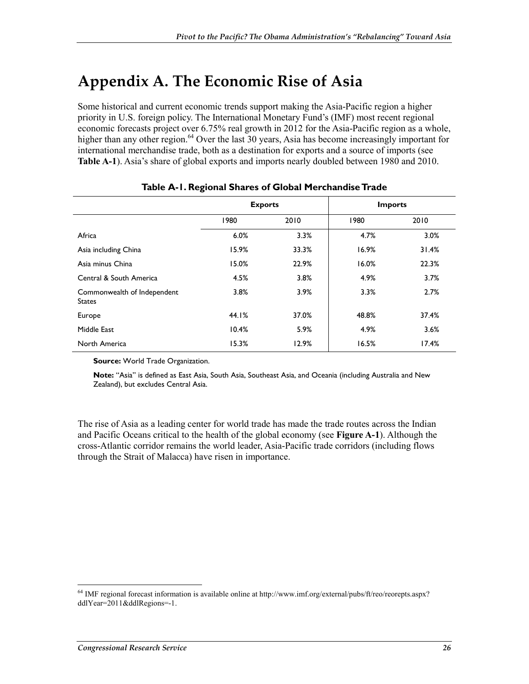## **Appendix A. The Economic Rise of Asia**

Some historical and current economic trends support making the Asia-Pacific region a higher priority in U.S. foreign policy. The International Monetary Fund's (IMF) most recent regional economic forecasts project over 6.75% real growth in 2012 for the Asia-Pacific region as a whole, higher than any other region.<sup>64</sup> Over the last 30 years, Asia has become increasingly important for international merchandise trade, both as a destination for exports and a source of imports (see **Table A-1**). Asia's share of global exports and imports nearly doubled between 1980 and 2010.

|                                              | <b>Exports</b> |       | <b>Imports</b> |       |  |
|----------------------------------------------|----------------|-------|----------------|-------|--|
|                                              | 1980           | 2010  | 1980           | 2010  |  |
| Africa                                       | 6.0%           | 3.3%  | 4.7%           | 3.0%  |  |
| Asia including China                         | 15.9%          | 33.3% | 16.9%          | 31.4% |  |
| Asia minus China                             | 15.0%          | 22.9% | 16.0%          | 22.3% |  |
| Central & South America                      | 4.5%           | 3.8%  | 4.9%           | 3.7%  |  |
| Commonwealth of Independent<br><b>States</b> | 3.8%           | 3.9%  | 3.3%           | 2.7%  |  |
| Europe                                       | 44.1%          | 37.0% | 48.8%          | 37.4% |  |
| Middle East                                  | 10.4%          | 5.9%  | 4.9%           | 3.6%  |  |
| North America                                | 15.3%          | 12.9% | 16.5%          | 17.4% |  |

#### **Table A-1. Regional Shares of Global Merchandise Trade**

**Source: World Trade Organization.** 

**Note:** "Asia" is defined as East Asia, South Asia, Southeast Asia, and Oceania (including Australia and New Zealand), but excludes Central Asia.

The rise of Asia as a leading center for world trade has made the trade routes across the Indian and Pacific Oceans critical to the health of the global economy (see **Figure A-1**). Although the cross-Atlantic corridor remains the world leader, Asia-Pacific trade corridors (including flows through the Strait of Malacca) have risen in importance.

 $^{64}$  IMF regional forecast information is available online at http://www.imf.org/external/pubs/ft/reo/reorepts.aspx? ddlYear=2011&ddlRegions=-1.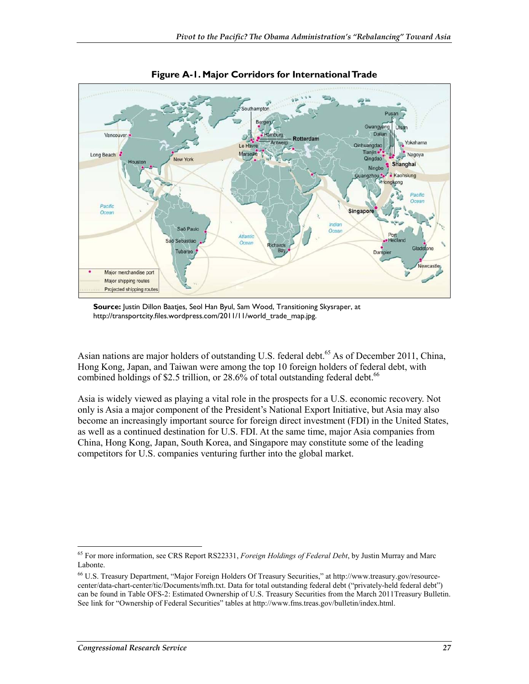

**Figure A-1. Major Corridors for International Trade** 

**Source:** Justin Dillon Baatjes, Seol Han Byul, Sam Wood, Transitioning Skysraper, at http://transportcity.files.wordpress.com/2011/11/world\_trade\_map.jpg.

Asian nations are major holders of outstanding U.S. federal debt.<sup>65</sup> As of December 2011, China, Hong Kong, Japan, and Taiwan were among the top 10 foreign holders of federal debt, with combined holdings of \$2.5 trillion, or  $28.6\%$  of total outstanding federal debt.<sup>66</sup>

Asia is widely viewed as playing a vital role in the prospects for a U.S. economic recovery. Not only is Asia a major component of the President's National Export Initiative, but Asia may also become an increasingly important source for foreign direct investment (FDI) in the United States, as well as a continued destination for U.S. FDI. At the same time, major Asia companies from China, Hong Kong, Japan, South Korea, and Singapore may constitute some of the leading competitors for U.S. companies venturing further into the global market.

<sup>1</sup> 65 For more information, see CRS Report RS22331, *Foreign Holdings of Federal Debt*, by Justin Murray and Marc Labonte.

<sup>66</sup> U.S. Treasury Department, "Major Foreign Holders Of Treasury Securities," at http://www.treasury.gov/resourcecenter/data-chart-center/tic/Documents/mfh.txt. Data for total outstanding federal debt ("privately-held federal debt") can be found in Table OFS-2: Estimated Ownership of U.S. Treasury Securities from the March 2011Treasury Bulletin. See link for "Ownership of Federal Securities" tables at http://www.fms.treas.gov/bulletin/index.html.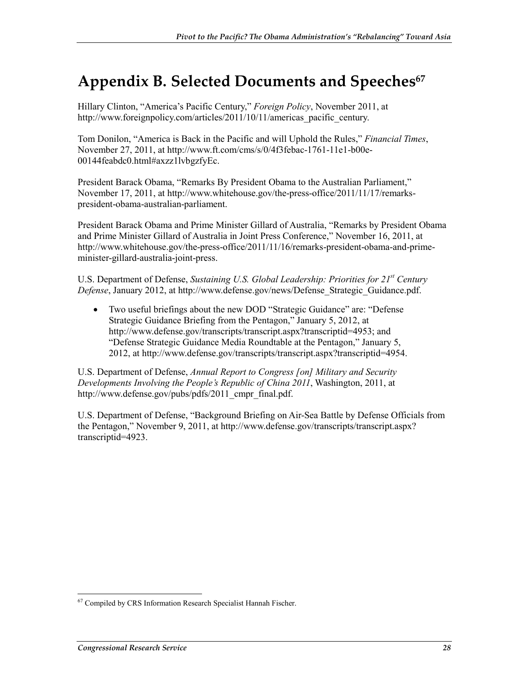## **Appendix B. Selected Documents and Speeches67**

Hillary Clinton, "America's Pacific Century," *Foreign Policy*, November 2011, at http://www.foreignpolicy.com/articles/2011/10/11/americas\_pacific\_century.

Tom Donilon, "America is Back in the Pacific and will Uphold the Rules," *Financial Times*, November 27, 2011, at http://www.ft.com/cms/s/0/4f3febac-1761-11e1-b00e-00144feabdc0.html#axzz1lvbgzfyEc.

President Barack Obama, "Remarks By President Obama to the Australian Parliament," November 17, 2011, at http://www.whitehouse.gov/the-press-office/2011/11/17/remarkspresident-obama-australian-parliament.

President Barack Obama and Prime Minister Gillard of Australia, "Remarks by President Obama and Prime Minister Gillard of Australia in Joint Press Conference," November 16, 2011, at http://www.whitehouse.gov/the-press-office/2011/11/16/remarks-president-obama-and-primeminister-gillard-australia-joint-press.

U.S. Department of Defense, *Sustaining U.S. Global Leadership: Priorities for 21st Century Defense*, January 2012, at http://www.defense.gov/news/Defense\_Strategic\_Guidance.pdf.

• Two useful briefings about the new DOD "Strategic Guidance" are: "Defense Strategic Guidance Briefing from the Pentagon," January 5, 2012, at http://www.defense.gov/transcripts/transcript.aspx?transcriptid=4953; and "Defense Strategic Guidance Media Roundtable at the Pentagon," January 5, 2012, at http://www.defense.gov/transcripts/transcript.aspx?transcriptid=4954.

U.S. Department of Defense, *Annual Report to Congress [on] Military and Security Developments Involving the People's Republic of China 2011*, Washington, 2011, at http://www.defense.gov/pubs/pdfs/2011\_cmpr\_final.pdf.

U.S. Department of Defense, "Background Briefing on Air-Sea Battle by Defense Officials from the Pentagon," November 9, 2011, at http://www.defense.gov/transcripts/transcript.aspx? transcriptid=4923.

<sup>&</sup>lt;u>.</u> <sup>67</sup> Compiled by CRS Information Research Specialist Hannah Fischer.